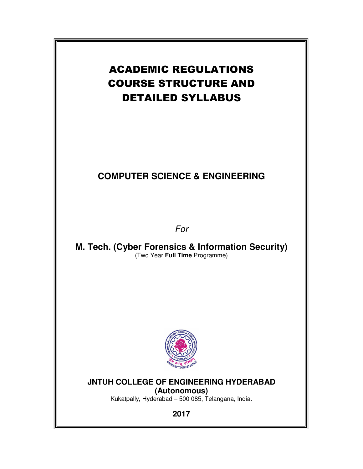# ACADEMIC REGULATIONS COURSE STRUCTURE AND DETAILED SYLLABUS

# **COMPUTER SCIENCE & ENGINEERING**

*For* 

**M. Tech. (Cyber Forensics & Information Security)**  (Two Year **Full Time** Programme)



# **JNTUH COLLEGE OF ENGINEERING HYDERABAD (Autonomous)**

Kukatpally, Hyderabad – 500 085, Telangana, India.

**2017**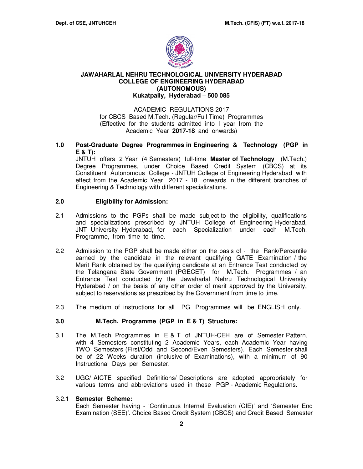

#### **JAWAHARLAL NEHRU TECHNOLOGICAL UNIVERSITY HYDERABAD COLLEGE OF ENGINEERING HYDERABAD (AUTONOMOUS) Kukatpally, Hyderabad – 500 085**

ACADEMIC REGULATIONS 2017 for CBCS Based M.Tech. (Regular/Full Time) Programmes (Effective for the students admitted into I year from the Academic Year **2017-18** and onwards)

#### **1.0 Post-Graduate Degree Programmes in Engineering & Technology (PGP in E & T):**

JNTUH offers 2 Year (4 Semesters) full-time **Master of Technology** (M.Tech.) Degree Programmes, under Choice Based Credit System (CBCS) at its Constituent Autonomous College - JNTUH College of Engineering Hyderabad with effect from the Academic Year 2017 - 18 onwards in the different branches of Engineering & Technology with different specializations.

#### **2.0 Eligibility for Admission:**

- 2.1 Admissions to the PGPs shall be made subject to the eligibility, qualifications and specializations prescribed by JNTUH College of Engineering Hyderabad, JNT University Hyderabad, for each Specialization under each M.Tech. Programme, from time to time.
- 2.2 Admission to the PGP shall be made either on the basis of the Rank/Percentile earned by the candidate in the relevant qualifying GATE Examination / the Merit Rank obtained by the qualifying candidate at an Entrance Test conducted by the Telangana State Government (PGECET) for M.Tech. Programmes / an Entrance Test conducted by the Jawaharlal Nehru Technological University Hyderabad / on the basis of any other order of merit approved by the University, subject to reservations as prescribed by the Government from time to time.
- 2.3 The medium of instructions for all PG Programmes will be ENGLISH only.

#### **3.0 M.Tech. Programme (PGP in E & T) Structure:**

- 3.1 The M.Tech. Programmes in E & T of JNTUH-CEH are of Semester Pattern, with 4 Semesters constituting 2 Academic Years, each Academic Year having TWO Semesters (First/Odd and Second/Even Semesters). Each Semester shall be of 22 Weeks duration (inclusive of Examinations), with a minimum of 90 Instructional Days per Semester.
- 3.2 UGC/ AICTE specified Definitions/ Descriptions are adopted appropriately for various terms and abbreviations used in these PGP - Academic Regulations.

#### 3.2.1 **Semester Scheme:**

Each Semester having - 'Continuous Internal Evaluation (CIE)' and 'Semester End Examination (SEE)'. Choice Based Credit System (CBCS) and Credit Based Semester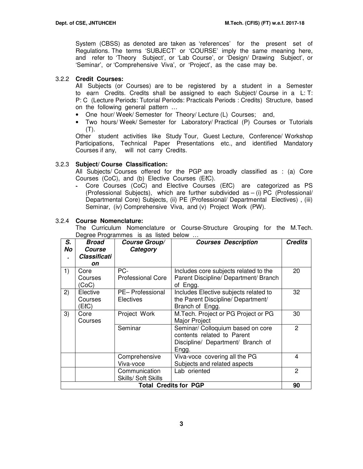System (CBSS) as denoted are taken as 'references' for the present set of Regulations. The terms 'SUBJECT' or 'COURSE' imply the same meaning here, and refer to 'Theory Subject', or 'Lab Course', or 'Design/ Drawing Subject', or 'Seminar', or 'Comprehensive Viva', or 'Project', as the case may be.

# 3.2.2 **Credit Courses:**

All Subjects (or Courses) are to be registered by a student in a Semester to earn Credits. Credits shall be assigned to each Subject/ Course in a L: T: P: C (Lecture Periods: Tutorial Periods: Practicals Periods : Credits) Structure, based on the following general pattern …

- One hour/ Week/ Semester for Theory/ Lecture (L) Courses; and,
- Two hours/ Week/ Semester for Laboratory/ Practical (P) Courses or Tutorials  $(T).$

Other student activities like Study Tour, Guest Lecture, Conference/ Workshop Participations, Technical Paper Presentations etc., and identified Mandatory Courses if any, will not carry Credits.

# 3.2.3 **Subject/ Course Classification:**

All Subjects/ Courses offered for the PGP are broadly classified as : (a) Core Courses (CoC), and (b) Elective Courses (EℓC).

- Core Courses (CoC) and Elective Courses (EℓC) are categorized as PS (Professional Subjects), which are further subdivided as – (i) PC (Professional/ Departmental Core) Subjects, (ii) PE (Professional/ Departmental Electives) , (iii) Seminar, (iv) Comprehensive Viva, and (v) Project Work (PW).

#### 3.2.4 **Course Nomenclature:**

The Curriculum Nomenclature or Course-Structure Grouping for the M.Tech. Degree Programmes is as listed below …

| S.             | <b>Broad</b>                | Course Group/                        | <b>Courses Description</b>                                                                                    | <b>Credits</b> |
|----------------|-----------------------------|--------------------------------------|---------------------------------------------------------------------------------------------------------------|----------------|
| No             | Course<br>Classificati      | Category                             |                                                                                                               |                |
| $\blacksquare$ | on                          |                                      |                                                                                                               |                |
| 1)             | Core<br>Courses<br>(CoC)    | PC-<br><b>Professional Core</b>      | Includes core subjects related to the<br>Parent Discipline/ Department/ Branch<br>of Engg.                    | 20             |
| 2)             | Elective<br>Courses<br>E(C) | PE- Professional<br>Electives        | Includes Elective subjects related to<br>the Parent Discipline/ Department/<br>Branch of Engg.                | 32             |
| 3)             | Core<br>Courses             | Project Work                         | M. Tech. Project or PG Project or PG<br>Major Project                                                         | 30             |
|                |                             | Seminar                              | Seminar/ Colloquium based on core<br>contents related to Parent<br>Discipline/ Department/ Branch of<br>Engg. | $\overline{2}$ |
|                |                             | Comprehensive<br>Viva-voce           | Viva-voce covering all the PG<br>Subjects and related aspects                                                 | 4              |
|                |                             | Communication<br>Skills/ Soft Skills | Lab oriented                                                                                                  | 2              |
|                |                             |                                      | <b>Total Credits for PGP</b>                                                                                  | 90             |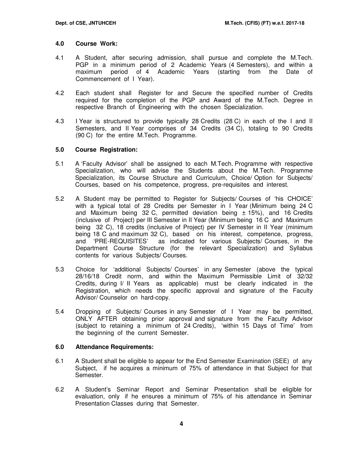#### **4.0 Course Work:**

- 4.1 A Student, after securing admission, shall pursue and complete the M.Tech. PGP in a minimum period of 2 Academic Years (4 Semesters), and within a maximum period of 4 Academic Years (starting from the Date of Commencement of I Year).
- 4.2 Each student shall Register for and Secure the specified number of Credits required for the completion of the PGP and Award of the M.Tech. Degree in respective Branch of Engineering with the chosen Specialization.
- 4.3 I Year is structured to provide typically 28 Credits (28 C) in each of the I and II Semesters, and II Year comprises of 34 Credits (34 C), totaling to 90 Credits (90 C) for the entire M.Tech. Programme.

#### **5.0 Course Registration:**

- 5.1 A 'Faculty Advisor' shall be assigned to each M.Tech. Programme with respective Specialization, who will advise the Students about the M.Tech. Programme Specialization, its Course Structure and Curriculum, Choice/ Option for Subjects/ Courses, based on his competence, progress, pre-requisites and interest.
- 5.2 A Student may be permitted to Register for Subjects/ Courses of 'his CHOICE' with a typical total of 28 Credits per Semester in I Year (Minimum being 24 C and Maximum being 32 C, permitted deviation being  $\pm$  15%), and 16 Credits (inclusive of Project) per III Semester in II Year (Minimum being 16 C and Maximum being 32 C), 18 credits (inclusive of Project) per IV Semester in II Year (minimum being 18 C and maximum 32 C), based on his interest, competence, progress, and 'PRE-REQUISITES' as indicated for various Subjects/ Courses, in the Department Course Structure (for the relevant Specialization) and Syllabus contents for various Subjects/ Courses.
- 5.3 Choice for 'additional Subjects/ Courses' in any Semester (above the typical 28/16/18 Credit norm, and within the Maximum Permissible Limit of 32/32 Credits, during I/ II Years as applicable) must be clearly indicated in the Registration, which needs the specific approval and signature of the Faculty Advisor/ Counselor on hard-copy.
- 5.4 Dropping of Subjects/ Courses in any Semester of I Year may be permitted, ONLY AFTER obtaining prior approval and signature from the Faculty Advisor (subject to retaining a minimum of 24 Credits), 'within 15 Days of Time' from the beginning of the current Semester.

#### **6.0 Attendance Requirements:**

- 6.1 A Student shall be eligible to appear for the End Semester Examination (SEE) of any Subject, if he acquires a minimum of 75% of attendance in that Subject for that Semester.
- 6.2 A Student's Seminar Report and Seminar Presentation shall be eligible for evaluation, only if he ensures a minimum of 75% of his attendance in Seminar Presentation Classes during that Semester.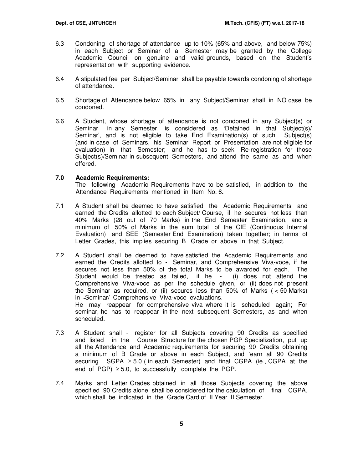- 6.3 Condoning of shortage of attendance up to 10% (65% and above, and below 75%) in each Subject or Seminar of a Semester may be granted by the College Academic Council on genuine and valid grounds, based on the Student's representation with supporting evidence.
- 6.4 A stipulated fee per Subject/Seminar shall be payable towards condoning of shortage of attendance.
- 6.5 Shortage of Attendance below 65% in any Subject/Seminar shall in NO case be condoned.
- 6.6 A Student, whose shortage of attendance is not condoned in any Subject(s) or Seminar in any Semester, is considered as 'Detained in that Subject(s)/ Seminar', and is not eligible to take End Examination(s) of such Subject(s) (and in case of Seminars, his Seminar Report or Presentation are not eligible for evaluation) in that Semester; and he has to seek Re-registration for those Subject(s)/Seminar in subsequent Semesters, and attend the same as and when offered.

#### **7.0 Academic Requirements:**

The following Academic Requirements have to be satisfied, in addition to the Attendance Requirements mentioned in Item No. 6**.** 

- 7.1 A Student shall be deemed to have satisfied the Academic Requirements and earned the Credits allotted to each Subject/ Course, if he secures not less than 40% Marks (28 out of 70 Marks) in the End Semester Examination, and a minimum of 50% of Marks in the sum total of the CIE (Continuous Internal Evaluation) and SEE (Semester End Examination) taken together; in terms of Letter Grades, this implies securing B Grade or above in that Subject.
- 7.2A Student shall be deemed to have satisfied the Academic Requirements and earned the Credits allotted to - Seminar, and Comprehensive Viva-voce, if he secures not less than 50% of the total Marks to be awarded for each. The Student would be treated as failed, if he - (i) does not attend the Comprehensive Viva-voce as per the schedule given, or (ii) does not present the Seminar as required, or (ii) secures less than 50% of Marks ( < 50 Marks) in Seminar/ Comprehensive Viva-voce evaluations. He may reappear for comprehensive viva where it is scheduled again; For seminar, he has to reappear in the next subsequent Semesters, as and when scheduled.
- 7.3 A Student shall register for all Subjects covering 90 Credits as specified and listed in the Course Structure for the chosen PGP Specialization, put up all the Attendance and Academic requirements for securing 90 Credits obtaining a minimum of B Grade or above in each Subject, and 'earn all 90 Credits securing SGPA ≥ 5.0 (in each Semester) and final CGPA (ie., CGPA at the end of PGP)  $\geq$  5.0, to successfully complete the PGP.
- 7.4 Marks and Letter Grades obtained in all those Subjects covering the above specified 90 Credits alone shall be considered for the calculation of final CGPA, which shall be indicated in the Grade Card of II Year II Semester.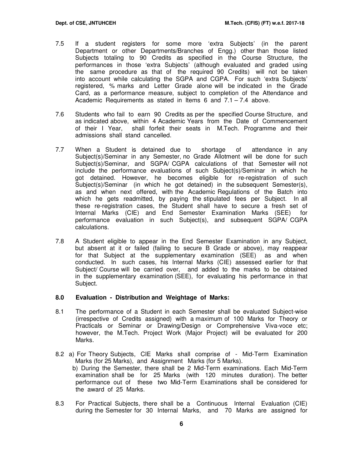- 7.5 If a student registers for some more 'extra Subjects' (in the parent Department or other Departments/Branches of Engg.) other than those listed Subjects totaling to 90 Credits as specified in the Course Structure, the performances in those 'extra Subjects' (although evaluated and graded using the same procedure as that of the required 90 Credits) will not be taken into account while calculating the SGPA and CGPA. For such 'extra Subjects' registered, % marks and Letter Grade alone will be indicated in the Grade Card, as a performance measure, subject to completion of the Attendance and Academic Requirements as stated in Items 6 and 7.1 – 7.4 above.
- 7.6 Students who fail to earn 90 Credits as per the specified Course Structure, and as indicated above, within 4 Academic Years from the Date of Commencement of their I Year, shall forfeit their seats in M.Tech. Programme and their admissions shall stand cancelled.
- 7.7 When a Student is detained due to shortage of attendance in any Subject(s)/Seminar in any Semester, no Grade Allotment will be done for such Subject(s)/Seminar, and SGPA/ CGPA calculations of that Semester will not include the performance evaluations of such Subject(s)/Seminar in which he got detained. However, he becomes eligible for re-registration of such Subject(s)/Seminar (in which he got detained) in the subsequent Semester(s), as and when next offered, with the Academic Regulations of the Batch into which he gets readmitted, by paying the stipulated fees per Subject. In all these re-registration cases, the Student shall have to secure a fresh set of Internal Marks (CIE) and End Semester Examination Marks (SEE) for performance evaluation in such Subject(s), and subsequent SGPA/ CGPA calculations.
- 7.8 A Student eligible to appear in the End Semester Examination in any Subject, but absent at it or failed (failing to secure B Grade or above), may reappear for that Subject at the supplementary examination (SEE) as and when conducted. In such cases, his Internal Marks (CIE) assessed earlier for that Subject/ Course will be carried over, and added to the marks to be obtained in the supplementary examination (SEE), for evaluating his performance in that Subject.

#### **8.0 Evaluation - Distribution and Weightage of Marks:**

- 8.1 The performance of a Student in each Semester shall be evaluated Subject-wise (irrespective of Credits assigned) with a maximum of 100 Marks for Theory or Practicals or Seminar or Drawing/Design or Comprehensive Viva-voce etc; however, the M.Tech. Project Work (Major Project) will be evaluated for 200 Marks.
- 8.2 a) For Theory Subjects, CIE Marks shall comprise of Mid-Term Examination Marks (for 25 Marks), and Assignment Marks (for 5 Marks).

 b) During the Semester, there shall be 2 Mid-Term examinations. Each Mid-Term examination shall be for 25 Marks (with 120 minutes duration). The better performance out of these two Mid-Term Examinations shall be considered for the award of 25 Marks.

8.3 For Practical Subjects, there shall be a Continuous Internal Evaluation (CIE) during the Semester for 30 Internal Marks, and 70 Marks are assigned for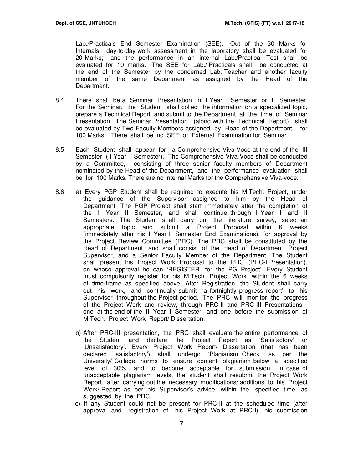Lab./Practicals End Semester Examination (SEE). Out of the 30 Marks for Internals, day-to-day work assessment in the laboratory shall be evaluated for 20 Marks; and the performance in an internal Lab./Practical Test shall be evaluated for 10 marks. The SEE for Lab./ Practicals shall be conducted at the end of the Semester by the concerned Lab. Teacher and another faculty member of the same Department as assigned by the Head of the Department.

- 8.4 There shall be a Seminar Presentation in I Year I Semester or II Semester. For the Seminar, the Student shall collect the information on a specialized topic, prepare a Technical Report and submit to the Department at the time of Seminar Presentation. The Seminar Presentation (along with the Technical Report) shall be evaluated by Two Faculty Members assigned by Head of the Department, for 100 Marks. There shall be no SEE or External Examination for Seminar.
- 8.5 Each Student shall appear for a Comprehensive Viva-Voce at the end of the III Semester (II Year I Semester). The Comprehensive Viva-Voce shall be conducted by a Committee, consisting of three senior faculty members of Department nominated by the Head of the Department, and the performance evaluation shall be for 100 Marks. There are no Internal Marks for the Comprehensive Viva-voce.
- 8.6 a) Every PGP Student shall be required to execute his M.Tech. Project, under the guidance of the Supervisor assigned to him by the Head of Department. The PGP Project shall start immediately after the completion of the I Year II Semester, and shall continue through II Year I and II Semesters. The Student shall carry out the literature survey, select an appropriate topic and submit a Project Proposal within 6 weeks (immediately after his I Year II Semester End Examinations), for approval by the Project Review Committee (PRC). The PRC shall be constituted by the Head of Department, and shall consist of the Head of Department, Project Supervisor, and a Senior Faculty Member of the Department. The Student shall present his Project Work Proposal to the PRC (PRC-I Presentation), on whose approval he can 'REGISTER for the PG Project'. Every Student must compulsorily register for his M.Tech. Project Work, within the 6 weeks of time-frame as specified above. After Registration, the Student shall carry out his work, and continually submit 'a fortnightly progress report' to his Supervisor throughout the Project period. The PRC will monitor the progress of the Project Work and review, through PRC-II and PRC-III Presentations – one at the end of the II Year I Semester, and one before the submission of M.Tech. Project Work Report/ Dissertation.
	- b) After PRC-III presentation, the PRC shall evaluate the entire performance of the Student and declare the Project Report as 'Satisfactory' or 'Unsatisfactory'. Every Project Work Report/ Dissertation (that has been declared 'satisfactory') shall undergo 'Plagiarism Check' as per the University/ College norms to ensure content plagiarism below a specified level of 30%, and to become acceptable for submission. In case of unacceptable plagiarism levels, the student shall resubmit the Project Work Report, after carrying out the necessary modifications/ additions to his Project Work/ Report as per his Supervisor's advice, within the specified time, as suggested by the PRC.
	- c) If any Student could not be present for PRC-II at the scheduled time (after approval and registration of his Project Work at PRC-I), his submission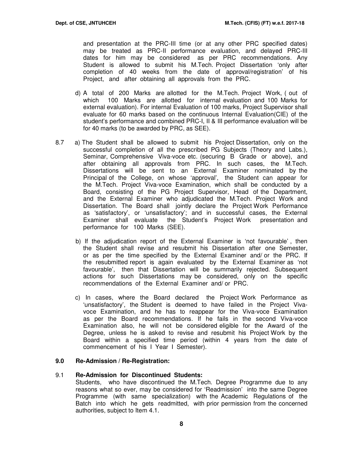and presentation at the PRC-III time (or at any other PRC specified dates) may be treated as PRC-II performance evaluation, and delayed PRC-III dates for him may be considered as per PRC recommendations. Any Student is allowed to submit his M.Tech. Project Dissertation 'only after completion of 40 weeks from the date of approval/registration' of his Project, and after obtaining all approvals from the PRC.

- d) A total of 200 Marks are allotted for the M.Tech. Project Work, ( out of which 100 Marks are allotted for internal evaluation and 100 Marks for external evaluation). For internal Evaluation of 100 marks, Project Supervisor shall evaluate for 60 marks based on the continuous Internal Evaluation(CIE) of the student's performance and combined PRC-I, II & III performance evaluation will be for 40 marks (to be awarded by PRC, as SEE).
- 8.7 a) The Student shall be allowed to submit his Project Dissertation, only on the successful completion of all the prescribed PG Subjects (Theory and Labs.), Seminar, Comprehensive Viva-voce etc. (securing B Grade or above), and after obtaining all approvals from PRC. In such cases, the M.Tech. Dissertations will be sent to an External Examiner nominated by the Principal of the College, on whose 'approval', the Student can appear for the M.Tech. Project Viva-voce Examination, which shall be conducted by a Board, consisting of the PG Project Supervisor, Head of the Department, and the External Examiner who adjudicated the M.Tech. Project Work and Dissertation. The Board shall jointly declare the Project Work Performance as 'satisfactory', or 'unsatisfactory'; and in successful cases, the External Examiner shall evaluate the Student's Project Work presentation and performance for 100 Marks (SEE).
	- b) If the adjudication report of the External Examiner is 'not favourable' , then the Student shall revise and resubmit his Dissertation after one Semester, or as per the time specified by the External Examiner and/ or the PRC. If the resubmitted report is again evaluated by the External Examiner as 'not favourable', then that Dissertation will be summarily rejected. Subsequent actions for such Dissertations may be considered, only on the specific recommendations of the External Examiner and/ or PRC.
	- c) In cases, where the Board declared the Project Work Performance as 'unsatisfactory', the Student is deemed to have failed in the Project Vivavoce Examination, and he has to reappear for the Viva-voce Examination as per the Board recommendations. If he fails in the second Viva-voce Examination also, he will not be considered eligible for the Award of the Degree, unless he is asked to revise and resubmit his Project Work by the Board within a specified time period (within 4 years from the date of commencement of his I Year I Semester).

#### **9.0 Re-Admission / Re-Registration:**

#### 9.1 **Re-Admission for Discontinued Students:**

Students, who have discontinued the M.Tech. Degree Programme due to any reasons what so ever, may be considered for 'Readmission' into the same Degree Programme (with same specialization) with the Academic Regulations of the Batch into which he gets readmitted, with prior permission from the concerned authorities, subject to Item 4.1.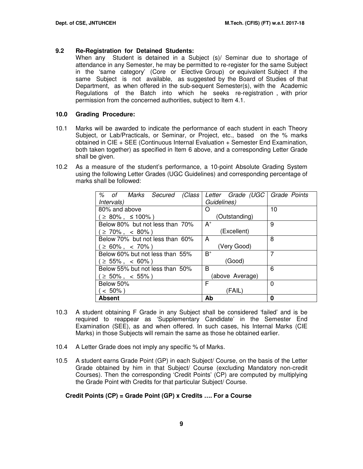#### **9.2 Re-Registration for Detained Students:**

When any Student is detained in a Subject (s)/ Seminar due to shortage of attendance in any Semester, he may be permitted to re-register for the same Subject in the 'same category' (Core or Elective Group) or equivalent Subject if the same Subject is not available, as suggested by the Board of Studies of that Department, as when offered in the sub-sequent Semester(s), with the Academic Regulations of the Batch into which he seeks re-registration , with prior permission from the concerned authorities, subject to Item 4.1.

#### **10.0 Grading Procedure:**

- 10.1 Marks will be awarded to indicate the performance of each student in each Theory Subject, or Lab/Practicals, or Seminar, or Project, etc., based on the % marks obtained in CIE + SEE (Continuous Internal Evaluation + Semester End Examination, both taken together) as specified in Item 6 above, and a corresponding Letter Grade shall be given.
- 10.2 As a measure of the student's performance, a 10-point Absolute Grading System using the following Letter Grades (UGC Guidelines) and corresponding percentage of marks shall be followed:

| % of Marks Secured (Class)      | Letter Grade (UGC   Grade Points |                |
|---------------------------------|----------------------------------|----------------|
| <i>Intervals</i> )              | Guidelines)                      |                |
| 80% and above                   | O                                | 10             |
| $\geq$ 80%, $\leq$ 100%)        | (Outstanding)                    |                |
| Below 80% but not less than 70% | $A^+$                            | 9              |
| $\geq 70\%$ , < 80%)            | (Excellent)                      |                |
| Below 70% but not less than 60% | A                                | 8              |
| $\geq 60\%$ , < 70%)            | (Very Good)                      |                |
| Below 60% but not less than 55% | $B^+$                            | $\overline{7}$ |
| $\geq 55\%$ , $\lt 60\%$        | (Good)                           |                |
| Below 55% but not less than 50% | B                                | 6              |
| $\geq 50\%$ , < 55%)            | (above Average)                  |                |
| Below 50%                       | F                                | $\Omega$       |
| $< 50\%$ )                      | (FAIL)                           |                |
| <b>Absent</b>                   | Ab                               | 0              |

- 10.3 A student obtaining F Grade in any Subject shall be considered 'failed' and is be required to reappear as 'Supplementary Candidate' in the Semester End Examination (SEE), as and when offered. In such cases, his Internal Marks (CIE Marks) in those Subjects will remain the same as those he obtained earlier.
- 10.4 A Letter Grade does not imply any specific % of Marks.
- 10.5 A student earns Grade Point (GP) in each Subject/ Course, on the basis of the Letter Grade obtained by him in that Subject/ Course (excluding Mandatory non-credit Courses). Then the corresponding 'Credit Points' (CP) are computed by multiplying the Grade Point with Credits for that particular Subject/ Course.

#### **Credit Points (CP) = Grade Point (GP) x Credits …. For a Course**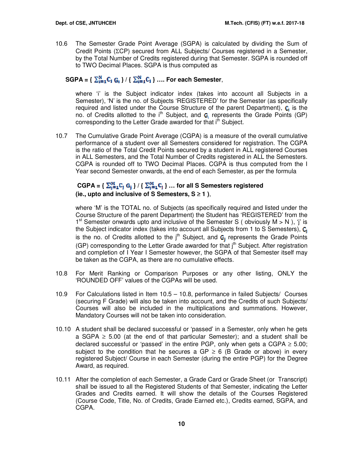10.6 The Semester Grade Point Average (SGPA) is calculated by dividing the Sum of Credit Points (ΣCP) secured from ALL Subjects/ Courses registered in a Semester, by the Total Number of Credits registered during that Semester. SGPA is rounded off to TWO Decimal Places. SGPA is thus computed as

# **SGPA** = { $\sum_{i=1}^{N} C_i$  **G**<sub>i</sub> } / { $\sum_{i=1}^{N} C_i$  } ... For each Semester,

where 'i' is the Subject indicator index (takes into account all Subjects in a Semester), 'N' is the no. of Subjects 'REGISTERED' for the Semester (as specifically required and listed under the Course Structure of the parent Department),  $\mathbf{C}_i$  is the no. of Credits allotted to the i<sup>th</sup> Subject, and  $G_i$  represents the Grade Points (GP) corresponding to the Letter Grade awarded for that i<sup>th</sup> Subject.

10.7 The Cumulative Grade Point Average (CGPA) is a measure of the overall cumulative performance of a student over all Semesters considered for registration. The CGPA is the ratio of the Total Credit Points secured by a student in ALL registered Courses in ALL Semesters, and the Total Number of Credits registered in ALL the Semesters. CGPA is rounded off to TWO Decimal Places. CGPA is thus computed from the I Year second Semester onwards, at the end of each Semester, as per the formula

# $CGPA = \{ \sum_{j=1}^{M} C_j G_j \} / \{ \sum_{j=1}^{M} C_j \} ...$  for all S Semesters registered **(ie., upto and inclusive of S Semesters, S** ≥ **1 )**,

where 'M' is the TOTAL no. of Subjects (as specifically required and listed under the Course Structure of the parent Department) the Student has 'REGISTERED' from the 1<sup>st</sup> Semester onwards upto and inclusive of the Semester S (obviously  $M > N$ ), 'j' is the Subject indicator index (takes into account all Subjects from 1 to S Semesters),  $C_i$ is the no. of Credits allotted to the j<sup>th</sup> Subject, and  $G_i$  represents the Grade Points  $(GP)$  corresponding to the Letter Grade awarded for that  $j<sup>th</sup>$  Subject. After registration and completion of I Year I Semester however, the SGPA of that Semester itself may be taken as the CGPA, as there are no cumulative effects.

- 10.8 For Merit Ranking or Comparison Purposes or any other listing, ONLY the 'ROUNDED OFF' values of the CGPAs will be used.
- 10.9 For Calculations listed in Item 10.5 10.8, performance in failed Subjects/ Courses (securing F Grade) will also be taken into account, and the Credits of such Subjects/ Courses will also be included in the multiplications and summations. However, Mandatory Courses will not be taken into consideration.
- 10.10 A student shall be declared successful or 'passed' in a Semester, only when he gets a SGPA  $\geq$  5.00 (at the end of that particular Semester); and a student shall be declared successful or 'passed' in the entire PGP, only when gets a CGPA  $\geq$  5.00; subject to the condition that he secures a GP  $\geq$  6 (B Grade or above) in every registered Subject/ Course in each Semester (during the entire PGP) for the Degree Award, as required.
- 10.11 After the completion of each Semester, a Grade Card or Grade Sheet (or Transcript) shall be issued to all the Registered Students of that Semester, indicating the Letter Grades and Credits earned. It will show the details of the Courses Registered (Course Code, Title, No. of Credits, Grade Earned etc.), Credits earned, SGPA, and CGPA.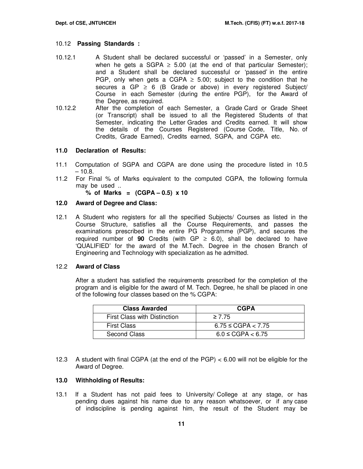#### 10.12 **Passing Standards :**

- 10.12.1 A Student shall be declared successful or 'passed' in a Semester, only when he gets a SGPA  $\geq$  5.00 (at the end of that particular Semester); and a Student shall be declared successful or 'passed' in the entire PGP, only when gets a CGPA  $\geq$  5.00; subject to the condition that he secures a GP  $\geq$  6 (B Grade or above) in every registered Subject/ Course in each Semester (during the entire PGP), for the Award of the Degree, as required.
- 10.12.2 After the completion of each Semester, a Grade Card or Grade Sheet (or Transcript) shall be issued to all the Registered Students of that Semester, indicating the Letter Grades and Credits earned. It will show the details of the Courses Registered (Course Code, Title, No. of Credits, Grade Earned), Credits earned, SGPA, and CGPA etc.

#### **11.0 Declaration of Results:**

- 11.1 Computation of SGPA and CGPA are done using the procedure listed in 10.5  $-10.8.$
- 11.2 For Final % of Marks equivalent to the computed CGPA, the following formula may be used ..

**% of Marks = (CGPA – 0.5) x 10** 

#### **12.0 Award of Degree and Class:**

12.1 A Student who registers for all the specified Subjects/ Courses as listed in the Course Structure, satisfies all the Course Requirements, and passes the examinations prescribed in the entire PG Programme (PGP), and secures the required number of **90** Credits (with  $GP \ge 6.0$ ), shall be declared to have 'QUALIFIED' for the award of the M.Tech. Degree in the chosen Branch of Engineering and Technology with specialization as he admitted.

#### 12.2 **Award of Class**

After a student has satisfied the requirements prescribed for the completion of the program and is eligible for the award of M. Tech. Degree, he shall be placed in one of the following four classes based on the % CGPA:

| <b>Class Awarded</b>         | <b>CGPA</b>             |
|------------------------------|-------------------------|
| First Class with Distinction | $\geq 7.75$             |
| <b>First Class</b>           | $6.75 \leq CGPA < 7.75$ |
| Second Class                 | $6.0 \leq CGPA < 6.75$  |

12.3 A student with final CGPA (at the end of the PGP) < 6.00 will not be eligible for the Award of Degree.

#### **13.0 Withholding of Results:**

13.1 If a Student has not paid fees to University/ College at any stage, or has pending dues against his name due to any reason whatsoever, or if any case of indiscipline is pending against him, the result of the Student may be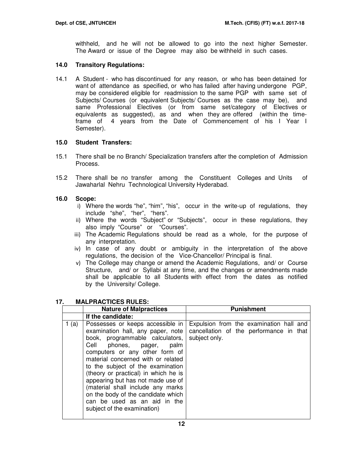withheld, and he will not be allowed to go into the next higher Semester. The Award or issue of the Degree may also be withheld in such cases.

# **14.0 Transitory Regulations:**

14.1 A Student - who has discontinued for any reason, or who has been detained for want of attendance as specified, or who has failed after having undergone PGP, may be considered eligible for readmission to the same PGP with same set of Subjects/ Courses (or equivalent Subjects/ Courses as the case may be), and same Professional Electives (or from same set/category of Electives or equivalents as suggested), as and when they are offered (within the timeframe of 4 years from the Date of Commencement of his I Year I Semester).

# **15.0 Student Transfers:**

- 15.1 There shall be no Branch/ Specialization transfers after the completion of Admission Process.
- 15.2 There shall be no transfer among the Constituent Colleges and Units of Jawaharlal Nehru Technological University Hyderabad.

# **16.0 Scope:**

- i) Where the words "he", "him", "his", occur in the write-up of regulations, they include "she", "her", "hers".
- ii) Where the words "Subject" or "Subjects", occur in these regulations, they also imply "Course" or "Courses".
- iii) The Academic Regulations should be read as a whole, for the purpose of any interpretation.
- iv) In case of any doubt or ambiguity in the interpretation of the above regulations, the decision of the Vice-Chancellor/ Principal is final.
- v) The College may change or amend the Academic Regulations, and/ or Course Structure, and/ or Syllabi at any time, and the changes or amendments made shall be applicable to all Students with effect from the dates as notified by the University/ College.

#### **17. MALPRACTICES RULES:**

|       | <b>Nature of Malpractices</b>                                                                                                                                                                                                                                                                                                                                                                                                                                               | <b>Punishment</b>                                                                                   |
|-------|-----------------------------------------------------------------------------------------------------------------------------------------------------------------------------------------------------------------------------------------------------------------------------------------------------------------------------------------------------------------------------------------------------------------------------------------------------------------------------|-----------------------------------------------------------------------------------------------------|
|       | If the candidate:                                                                                                                                                                                                                                                                                                                                                                                                                                                           |                                                                                                     |
| 1 (a) | Possesses or keeps accessible in<br>examination hall, any paper, note<br>book, programmable calculators,<br>Cell phones, pager,<br>palm<br>computers or any other form of<br>material concerned with or related<br>to the subject of the examination<br>(theory or practical) in which he is<br>appearing but has not made use of<br>(material shall include any marks<br>on the body of the candidate which<br>can be used as an aid in the<br>subject of the examination) | Expulsion from the examination hall and<br>cancellation of the performance in that<br>subject only. |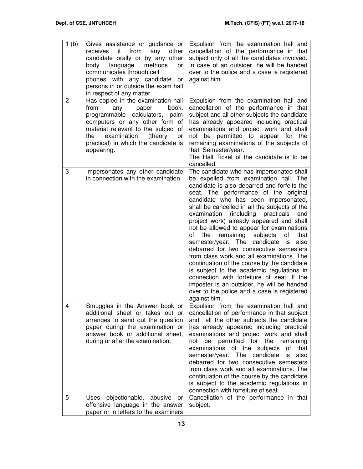| 1(b)           | Gives assistance or guidance or<br>it<br>from<br>any<br>receives<br>other<br>candidate orally or by any other<br>language<br>methods<br>body<br>or<br>communicates through cell<br>phones with any candidate<br>or<br>persons in or outside the exam hall<br>in respect of any matter. | Expulsion from the examination hall and<br>cancellation of the performance in that<br>subject only of all the candidates involved.<br>In case of an outsider, he will be handed<br>over to the police and a case is registered<br>against him.                                                                                                                                                                                                                                                                                                                                                                                                                                                                                                                                                                                                                 |
|----------------|----------------------------------------------------------------------------------------------------------------------------------------------------------------------------------------------------------------------------------------------------------------------------------------|----------------------------------------------------------------------------------------------------------------------------------------------------------------------------------------------------------------------------------------------------------------------------------------------------------------------------------------------------------------------------------------------------------------------------------------------------------------------------------------------------------------------------------------------------------------------------------------------------------------------------------------------------------------------------------------------------------------------------------------------------------------------------------------------------------------------------------------------------------------|
| $\overline{2}$ | Has copied in the examination hall<br>from<br>book,<br>any<br>paper,<br>programmable<br>calculators,<br>palm<br>computers or any other form of<br>material relevant to the subject of<br>examination<br>(theory<br>the<br>or<br>practical) in which the candidate is<br>appearing.     | Expulsion from the examination hall and<br>cancellation of the performance in that<br>subject and all other subjects the candidate<br>has already appeared including practical<br>examinations and project work and shall<br>be permitted to appear for the<br>not<br>remaining examinations of the subjects of<br>that Semester/year.<br>The Hall Ticket of the candidate is to be<br>cancelled.                                                                                                                                                                                                                                                                                                                                                                                                                                                              |
| 3              | Impersonates any other candidate<br>in connection with the examination.                                                                                                                                                                                                                | The candidate who has impersonated shall<br>be expelled from examination hall. The<br>candidate is also debarred and forfeits the<br>seat. The performance of the original<br>candidate who has been impersonated,<br>shall be cancelled in all the subjects of the<br>examination<br>(including<br>practicals<br>and<br>project work) already appeared and shall<br>not be allowed to appear for examinations<br>remaining<br>οf<br>the<br>subjects<br>οf<br>that<br>semester/year. The candidate<br>also<br>is<br>debarred for two consecutive semesters<br>from class work and all examinations. The<br>continuation of the course by the candidate<br>is subject to the academic regulations in<br>connection with forfeiture of seat. If the<br>imposter is an outsider, he will be handed<br>over to the police and a case is registered<br>against him. |
| 4              | Smuggles in the Answer book or<br>additional sheet or takes out or<br>arranges to send out the question<br>paper during the examination or<br>answer book or additional sheet,<br>during or after the examination.                                                                     | Expulsion from the examination hall and<br>cancellation of performance in that subject<br>all the other subjects the candidate<br>and<br>has already appeared including practical<br>examinations and project work and shall<br>permitted for the<br>not<br>be<br>remaining<br>examinations of the<br>subjects<br>οf<br>that<br>semester/year. The candidate<br>is<br>also<br>debarred for two consecutive semesters<br>from class work and all examinations. The<br>continuation of the course by the candidate<br>is subject to the academic regulations in<br>connection with forfeiture of seat.                                                                                                                                                                                                                                                           |
| 5              | objectionable, abusive<br>Uses<br>or<br>offensive language in the answer<br>paper or in letters to the examiners                                                                                                                                                                       | Cancellation of the performance in that<br>subject.                                                                                                                                                                                                                                                                                                                                                                                                                                                                                                                                                                                                                                                                                                                                                                                                            |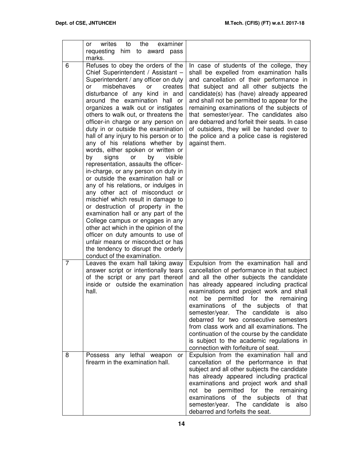|   | writes<br>the<br>examiner<br>to<br>or<br>requesting<br>him<br>to award<br>pass<br>marks.                                                                                                                                                                                                                                                                                                                                                                                                                                                                                                                                                                                                                                                                                                                                                                                                                                                                                                                                                                                                             |                                                                                                                                                                                                                                                                                                                                                                                                                                                                                                                                                                                                |
|---|------------------------------------------------------------------------------------------------------------------------------------------------------------------------------------------------------------------------------------------------------------------------------------------------------------------------------------------------------------------------------------------------------------------------------------------------------------------------------------------------------------------------------------------------------------------------------------------------------------------------------------------------------------------------------------------------------------------------------------------------------------------------------------------------------------------------------------------------------------------------------------------------------------------------------------------------------------------------------------------------------------------------------------------------------------------------------------------------------|------------------------------------------------------------------------------------------------------------------------------------------------------------------------------------------------------------------------------------------------------------------------------------------------------------------------------------------------------------------------------------------------------------------------------------------------------------------------------------------------------------------------------------------------------------------------------------------------|
| 6 | Refuses to obey the orders of the<br>Chief Superintendent / Assistant -<br>Superintendent / any officer on duty<br>misbehaves<br>or<br>creates<br><b>or</b><br>disturbance of any kind in and<br>around the examination<br>hall or<br>organizes a walk out or instigates<br>others to walk out, or threatens the<br>officer-in charge or any person on<br>duty in or outside the examination<br>hall of any injury to his person or to<br>any of his relations whether by<br>words, either spoken or written or<br>visible<br>by<br>signs<br>or<br>by<br>representation, assaults the officer-<br>in-charge, or any person on duty in<br>or outside the examination hall or<br>any of his relations, or indulges in<br>any other act of misconduct or<br>mischief which result in damage to<br>or destruction of property in the<br>examination hall or any part of the<br>College campus or engages in any<br>other act which in the opinion of the<br>officer on duty amounts to use of<br>unfair means or misconduct or has<br>the tendency to disrupt the orderly<br>conduct of the examination. | In case of students of the college, they<br>shall be expelled from examination halls<br>and cancellation of their performance in<br>that subject and all other subjects the<br>candidate(s) has (have) already appeared<br>and shall not be permitted to appear for the<br>remaining examinations of the subjects of<br>that semester/year. The candidates also<br>are debarred and forfeit their seats. In case<br>of outsiders, they will be handed over to<br>the police and a police case is registered<br>against them.                                                                   |
| 7 | Leaves the exam hall taking away<br>answer script or intentionally tears<br>of the script or any part thereof<br>inside or outside the examination<br>hall.                                                                                                                                                                                                                                                                                                                                                                                                                                                                                                                                                                                                                                                                                                                                                                                                                                                                                                                                          | Expulsion from the examination hall and<br>cancellation of performance in that subject<br>and all the other subjects the candidate<br>has already appeared including practical<br>examinations and project work and shall<br>not<br>be<br>permitted for the<br>remaining<br>examinations of the subjects<br>ot<br>that<br>semester/year. The candidate<br>also<br>İS<br>debarred for two consecutive semesters<br>from class work and all examinations. The<br>continuation of the course by the candidate<br>is subject to the academic regulations in<br>connection with forfeiture of seat. |
| 8 | Possess any lethal weapon<br>or<br>firearm in the examination hall.                                                                                                                                                                                                                                                                                                                                                                                                                                                                                                                                                                                                                                                                                                                                                                                                                                                                                                                                                                                                                                  | Expulsion from the examination hall and<br>cancellation of the performance in that<br>subject and all other subjects the candidate<br>has already appeared including practical<br>examinations and project work and shall<br>permitted for<br>the<br>not<br>be<br>remaining<br>examinations<br>of the<br>οf<br>that<br>subjects<br>semester/year. The candidate<br>is<br>also<br>debarred and forfeits the seat.                                                                                                                                                                               |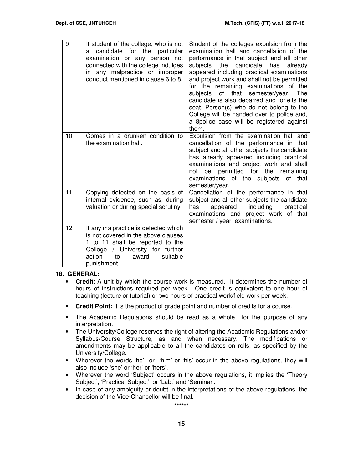| 9  | If student of the college, who is not<br>a candidate for the particular<br>examination or any person not<br>connected with the college indulges<br>in any malpractice or improper<br>conduct mentioned in clause 6 to 8. | Student of the colleges expulsion from the<br>examination hall and cancellation of the<br>performance in that subject and all other<br>the<br>candidate<br>subjects<br>has<br>already<br>appeared including practical examinations<br>and project work and shall not be permitted<br>for the remaining examinations of the<br>subjects of that semester/year.<br>The<br>candidate is also debarred and forfeits the<br>seat. Person(s) who do not belong to the<br>College will be handed over to police and,<br>a 8police case will be registered against<br>them. |
|----|--------------------------------------------------------------------------------------------------------------------------------------------------------------------------------------------------------------------------|---------------------------------------------------------------------------------------------------------------------------------------------------------------------------------------------------------------------------------------------------------------------------------------------------------------------------------------------------------------------------------------------------------------------------------------------------------------------------------------------------------------------------------------------------------------------|
| 10 | Comes in a drunken condition to<br>the examination hall.                                                                                                                                                                 | Expulsion from the examination hall and<br>cancellation of the performance in that<br>subject and all other subjects the candidate<br>has already appeared including practical<br>examinations and project work and shall<br>be permitted for the<br>not<br>remaining<br>examinations of the subjects<br>of<br>that<br>semester/year.                                                                                                                                                                                                                               |
| 11 | Copying detected on the basis of<br>internal evidence, such as, during<br>valuation or during special scrutiny.                                                                                                          | Cancellation of the performance in that<br>subject and all other subjects the candidate<br>including<br>has<br>appeared<br>practical<br>examinations and project work of that<br>semester / year examinations.                                                                                                                                                                                                                                                                                                                                                      |
| 12 | If any malpractice is detected which<br>is not covered in the above clauses<br>1 to 11 shall be reported to the<br>College / University for further<br>action<br>award<br>suitable<br>to<br>punishment.                  |                                                                                                                                                                                                                                                                                                                                                                                                                                                                                                                                                                     |

#### **18. GENERAL:**

- **Credit**: A unit by which the course work is measured. It determines the number of hours of instructions required per week. One credit is equivalent to one hour of teaching (lecture or tutorial) or two hours of practical work/field work per week.
- **Credit Point:** It is the product of grade point and number of credits for a course.
- The Academic Regulations should be read as a whole for the purpose of any interpretation.
- The University/College reserves the right of altering the Academic Regulations and/or Syllabus/Course Structure, as and when necessary. The modifications or amendments may be applicable to all the candidates on rolls, as specified by the University/College.
- Wherever the words 'he' or 'him' or 'his' occur in the above regulations, they will also include 'she' or 'her' or 'hers'.
- Wherever the word 'Subject' occurs in the above regulations, it implies the 'Theory Subject', 'Practical Subject' or 'Lab.' and 'Seminar'.
- In case of any ambiguity or doubt in the interpretations of the above regulations, the decision of the Vice-Chancellor will be final.

\*\*\*\*\*\*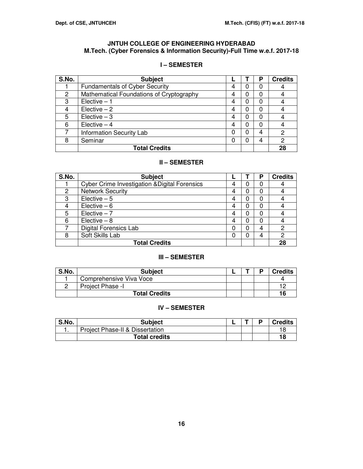# **JNTUH COLLEGE OF ENGINEERING HYDERABAD M.Tech. (Cyber Forensics & Information Security)-Full Time w.e.f. 2017-18**

# **I – SEMESTER**

| S.No. | <b>Subject</b>                           |   |   | Р | <b>Credits</b> |
|-------|------------------------------------------|---|---|---|----------------|
|       | <b>Fundamentals of Cyber Security</b>    | 4 |   |   |                |
| 2     | Mathematical Foundations of Cryptography |   | n | ი |                |
| 3     | $Electric - 1$                           | 4 |   | ი |                |
| 4     | Elective $-2$                            | 4 |   | O |                |
| 5     | Elective $-3$                            | 4 |   |   | 4              |
| 6     | Elective $-4$                            | 4 |   | ი |                |
|       | <b>Information Security Lab</b>          |   |   | 4 | 2              |
| 8     | Seminar                                  |   |   |   | 2              |
|       | <b>Total Credits</b>                     |   |   |   | 28             |

# **II – SEMESTER**

| S.No. | <b>Subject</b>                                           |   | Р | <b>Credits</b> |
|-------|----------------------------------------------------------|---|---|----------------|
|       | <b>Cyber Crime Investigation &amp; Digital Forensics</b> |   | 0 |                |
| 2     | <b>Network Security</b>                                  |   | 0 |                |
| 3     | Elective $-5$                                            |   | 0 |                |
|       | Elective $-6$                                            |   |   |                |
| 5     | Elective $-7$                                            |   | 0 |                |
| 6     | Elective $-8$                                            | 0 | 0 |                |
|       | <b>Digital Forensics Lab</b>                             |   | 4 | $\overline{c}$ |
| 8     | Soft Skills Lab                                          |   | 4 | 2              |
|       | <b>Total Credits</b>                                     |   |   | 28             |

# **III – SEMESTER**

| S.No. | <b>Subject</b>          |  | D | <b>Credits</b> |
|-------|-------------------------|--|---|----------------|
|       | Comprehensive Viva Voce |  |   | Д              |
|       | Project Phase -I        |  |   | 1 C            |
|       | <b>Total Credits</b>    |  |   | 16             |

# **IV – SEMESTER**

| S.No. | <b>Subject</b>                             |  | <b>Credits</b> |
|-------|--------------------------------------------|--|----------------|
|       | <b>Project Phase-II &amp; Dissertation</b> |  |                |
|       | <b>Total credits</b>                       |  | 18             |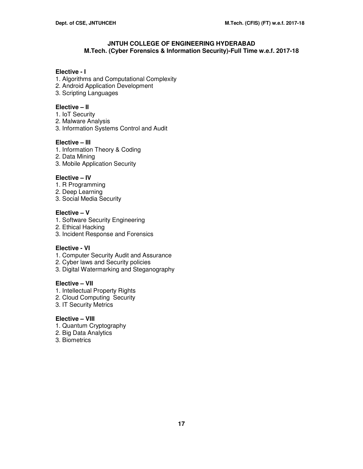# **JNTUH COLLEGE OF ENGINEERING HYDERABAD M.Tech. (Cyber Forensics & Information Security)-Full Time w.e.f. 2017-18**

# **Elective - I**

- 1. Algorithms and Computational Complexity
- 2. Android Application Development
- 3. Scripting Languages

#### **Elective – II**

- 1. IoT Security
- 2. Malware Analysis
- 3. Information Systems Control and Audit

#### **Elective – III**

- 1. Information Theory & Coding
- 2. Data Mining
- 3. Mobile Application Security

#### **Elective – IV**

- 1. R Programming
- 2. Deep Learning
- 3. Social Media Security

#### **Elective – V**

- 1. Software Security Engineering
- 2. Ethical Hacking
- 3. Incident Response and Forensics

#### **Elective - VI**

- 1. Computer Security Audit and Assurance
- 2. Cyber laws and Security policies
- 3. Digital Watermarking and Steganography

#### **Elective – VII**

- 1. Intellectual Property Rights
- 2. Cloud Computing Security
- 3. IT Security Metrics

# **Elective – VIII**

- 1. Quantum Cryptography
- 2. Big Data Analytics
- 3. Biometrics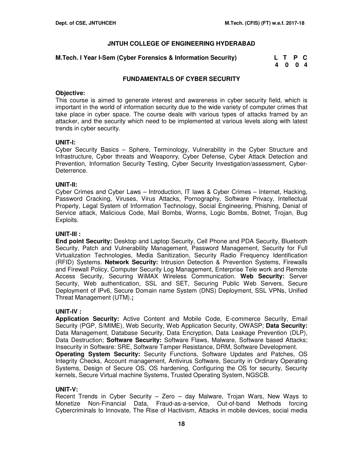**M.Tech. I Year I-Sem (Cyber Forensics & Information Security) L T P C** 

| ') |  | L T P C |  |
|----|--|---------|--|
|    |  | 4 0 0 4 |  |

# **FUNDAMENTALS OF CYBER SECURITY**

#### **Objective:**

This course is aimed to generate interest and awareness in cyber security field, which is important in the world of information security due to the wide variety of computer crimes that take place in cyber space. The course deals with various types of attacks framed by an attacker, and the security which need to be implemented at various levels along with latest trends in cyber security.

#### **UNIT-I:**

Cyber Security Basics – Sphere, Terminology, Vulnerability in the Cyber Structure and Infrastructure, Cyber threats and Weaponry, Cyber Defense, Cyber Attack Detection and Prevention, Information Security Testing, Cyber Security Investigation/assessment, Cyber-Deterrence.

# **UNIT-II:**

Cyber Crimes and Cyber Laws – Introduction, IT laws & Cyber Crimes – Internet, Hacking, Password Cracking, Viruses, Virus Attacks, Pornography, Software Privacy, Intellectual Property, Legal System of Information Technology, Social Engineering, Phishing, Denial of Service attack, Malicious Code, Mail Bombs, Worms, Logic Bombs, Botnet, Trojan, Bug Exploits.

# **UNIT-III :**

**End point Security:** Desktop and Laptop Security, Cell Phone and PDA Security, Bluetooth Security, Patch and Vulnerability Management, Password Management, Security for Full Virtualization Technologies, Media Sanitization, Security Radio Frequency Identification (RFID) Systems. **Network Security:** Intrusion Detection & Prevention Systems, Firewalls and Firewall Policy, Computer Security Log Management, Enterprise Tele work and Remote Access Security, Securing WiMAX Wireless Communication. **Web Security:** Server Security, Web authentication, SSL and SET, Securing Public Web Servers, Secure Deployment of IPv6, Secure Domain name System (DNS) Deployment, SSL VPNs, Unified Threat Management (UTM).**;** 

#### **UNIT-IV :**

**Application Security:** Active Content and Mobile Code, E-commerce Security, Email Security (PGP, S/MIME), Web Security, Web Application Security, OWASP; **Data Security:**  Data Management, Database Security, Data Encryption, Data Leakage Prevention (DLP), Data Destruction; **Software Security:** Software Flaws, Malware, Software based Attacks; Insecurity in Software: SRE, Software Tamper Resistance, DRM, Software Development. **Operating System Security:** Security Functions, Software Updates and Patches, OS Integrity Checks, Account management, Antivirus Software, Security in Ordinary Operating Systems, Design of Secure OS, OS hardening, Configuring the OS for security, Security kernels, Secure Virtual machine Systems, Trusted Operating System, NGSCB.

#### **UNIT-V:**

Recent Trends in Cyber Security – Zero – day Malware, Trojan Wars, New Ways to Monetize Non-Financial Data, Fraud-as-a-service, Out-of-band Methods forcing Cybercriminals to Innovate, The Rise of Hactivism, Attacks in mobile devices, social media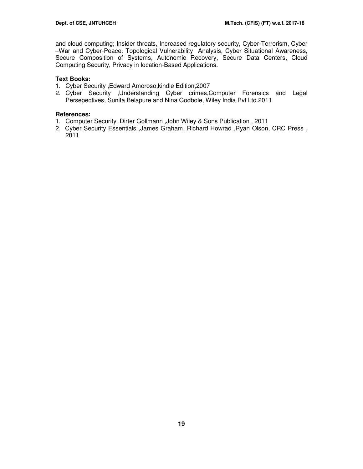and cloud computing; Insider threats, Increased regulatory security, Cyber-Terrorism, Cyber –War and Cyber-Peace. Topological Vulnerability Analysis, Cyber Situational Awareness, Secure Composition of Systems, Autonomic Recovery, Secure Data Centers, Cloud Computing Security, Privacy in location-Based Applications.

#### **Text Books:**

- 1. Cyber Security ,Edward Amoroso,kindle Edition,2007
- 2. Cyber Security ,Understanding Cyber crimes,Computer Forensics and Legal Persepectives, Sunita Belapure and Nina Godbole, Wiley India Pvt Ltd.2011

#### **References:**

- 1. Computer Security ,Dirter Gollmann ,John Wiley & Sons Publication , 2011
- 2. Cyber Security Essentials ,James Graham, Richard Howrad ,Ryan Olson, CRC Press , 2011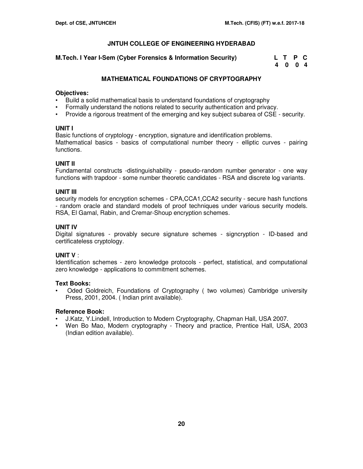**M.Tech. I Year I-Sem (Cyber Forensics & Information Security) Letter Control** 

| ) |  | L I P U |  |
|---|--|---------|--|
|   |  | 4 0 0 4 |  |

# **MATHEMATICAL FOUNDATIONS OF CRYPTOGRAPHY**

#### **Objectives:**

- Build a solid mathematical basis to understand foundations of cryptography
- Formally understand the notions related to security authentication and privacy.
- Provide a rigorous treatment of the emerging and key subject subarea of CSE security.

# **UNIT I**

Basic functions of cryptology - encryption, signature and identification problems. Mathematical basics - basics of computational number theory - elliptic curves - pairing functions.

# **UNIT II**

Fundamental constructs -distinguishability - pseudo-random number generator - one way functions with trapdoor - some number theoretic candidates - RSA and discrete log variants.

# **UNIT III**

security models for encryption schemes - CPA,CCA1,CCA2 security - secure hash functions - random oracle and standard models of proof techniques under various security models. RSA, El Gamal, Rabin, and Cremar-Shoup encryption schemes.

# **UNIT IV**

Digital signatures - provably secure signature schemes - signcryption - ID-based and certificateless cryptology.

# **UNIT V** :

Identification schemes - zero knowledge protocols - perfect, statistical, and computational zero knowledge - applications to commitment schemes.

# **Text Books:**

• Oded Goldreich, Foundations of Cryptography ( two volumes) Cambridge university Press, 2001, 2004. ( Indian print available).

#### **Reference Book:**

- J.Katz, Y.Lindell, Introduction to Modern Cryptography, Chapman Hall, USA 2007.
- Wen Bo Mao, Modern cryptography Theory and practice, Prentice Hall, USA, 2003 (Indian edition available).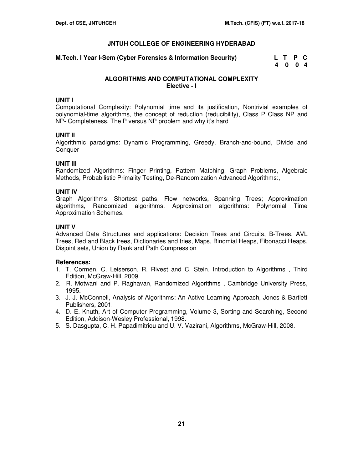**M.Tech. I Year I-Sem (Cyber Forensics & Information Security) L T P C** 

| ') |  | L I P C |  |
|----|--|---------|--|
|    |  | 4 0 0 4 |  |

#### **ALGORITHMS AND COMPUTATIONAL COMPLEXITY Elective - I**

# **UNIT I**

Computational Complexity: Polynomial time and its justification, Nontrivial examples of polynomial-time algorithms, the concept of reduction (reducibility), Class P Class NP and NP- Completeness, The P versus NP problem and why it's hard

# **UNIT II**

Algorithmic paradigms: Dynamic Programming, Greedy, Branch-and-bound, Divide and **Conquer** 

# **UNIT III**

Randomized Algorithms: Finger Printing, Pattern Matching, Graph Problems, Algebraic Methods, Probabilistic Primality Testing, De-Randomization Advanced Algorithms:,

# **UNIT IV**

Graph Algorithms: Shortest paths, Flow networks, Spanning Trees; Approximation algorithms, Randomized algorithms. Approximation algorithms: Polynomial Time Approximation Schemes.

# **UNIT V**

Advanced Data Structures and applications: Decision Trees and Circuits, B-Trees, AVL Trees, Red and Black trees, Dictionaries and tries, Maps, Binomial Heaps, Fibonacci Heaps, Disjoint sets, Union by Rank and Path Compression

# **References:**

- 1. T. Cormen, C. Leiserson, R. Rivest and C. Stein, Introduction to Algorithms , Third Edition, McGraw-Hill, 2009.
- 2. R. Motwani and P. Raghavan, Randomized Algorithms , Cambridge University Press, 1995.
- 3. J. J. McConnell, Analysis of Algorithms: An Active Learning Approach, Jones & Bartlett Publishers, 2001.
- 4. D. E. Knuth, Art of Computer Programming, Volume 3, Sorting and Searching, Second Edition, Addison-Wesley Professional, 1998.
- 5. S. Dasgupta, C. H. Papadimitriou and U. V. Vazirani, Algorithms, McGraw-Hill, 2008.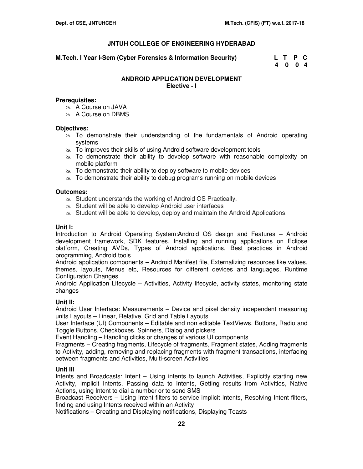**M.Tech. I Year I-Sem (Cyber Forensics & Information Security) L T P C** 

 **4 0 0 4** 

#### **ANDROID APPLICATION DEVELOPMENT Elective - I**

#### **Prerequisites:**

- **A Course on JAVA**
- A Course on DBMS

#### **Objectives:**

- $\approx$  To demonstrate their understanding of the fundamentals of Android operating systems
- $\infty$  To improves their skills of using Android software development tools
- $\geq$  To demonstrate their ability to develop software with reasonable complexity on mobile platform
- $\approx$  To demonstrate their ability to deploy software to mobile devices
- $\geq$  To demonstrate their ability to debug programs running on mobile devices

#### **Outcomes:**

- $\infty$  Student understands the working of Android OS Practically.
- $\approx$  Student will be able to develop Android user interfaces
- $\geq$  Student will be able to develop, deploy and maintain the Android Applications.

#### **Unit I:**

Introduction to Android Operating System:Android OS design and Features – Android development framework, SDK features, Installing and running applications on Eclipse platform, Creating AVDs, Types of Android applications, Best practices in Android programming, Android tools

Android application components – Android Manifest file, Externalizing resources like values, themes, layouts, Menus etc, Resources for different devices and languages, Runtime Configuration Changes

Android Application Lifecycle – Activities, Activity lifecycle, activity states, monitoring state changes

#### **Unit II:**

Android User Interface: Measurements – Device and pixel density independent measuring units Layouts – Linear, Relative, Grid and Table Layouts

User Interface (UI) Components – Editable and non editable TextViews, Buttons, Radio and Toggle Buttons, Checkboxes, Spinners, Dialog and pickers

Event Handling – Handling clicks or changes of various UI components

Fragments – Creating fragments, Lifecycle of fragments, Fragment states, Adding fragments to Activity, adding, removing and replacing fragments with fragment transactions, interfacing between fragments and Activities, Multi-screen Activities

#### **Unit III**

Intents and Broadcasts: Intent – Using intents to launch Activities, Explicitly starting new Activity, Implicit Intents, Passing data to Intents, Getting results from Activities, Native Actions, using Intent to dial a number or to send SMS

Broadcast Receivers – Using Intent filters to service implicit Intents, Resolving Intent filters, finding and using Intents received within an Activity

Notifications – Creating and Displaying notifications, Displaying Toasts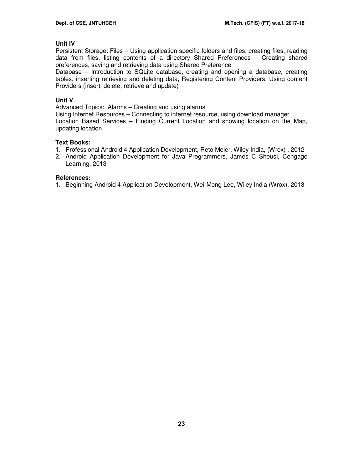# **Unit IV**

Persistent Storage: Files – Using application specific folders and files, creating files, reading data from files, listing contents of a directory Shared Preferences – Creating shared preferences, saving and retrieving data using Shared Preference

Database – Introduction to SQLite database, creating and opening a database, creating tables, inserting retrieving and deleting data, Registering Content Providers, Using content Providers (insert, delete, retrieve and update)

#### **Unit V**

Advanced Topics: Alarms – Creating and using alarms

Using Internet Resources – Connecting to internet resource, using download manager Location Based Services – Finding Current Location and showing location on the Map, updating location

# **Text Books:**

- 1. Professional Android 4 Application Development, Reto Meier, Wiley India, (Wrox) , 2012
- 2. Android Application Development for Java Programmers, James C Sheusi, Cengage Learning, 2013

#### **References:**

1. Beginning Android 4 Application Development, Wei-Meng Lee, Wiley India (Wrox), 2013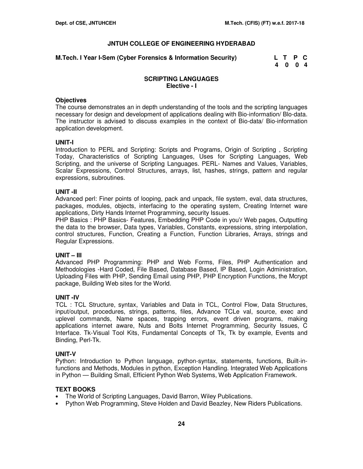**M.Tech. I Year I-Sem (Cyber Forensics & Information Security) L T P C** 

 **4 0 0 4** 

#### **SCRIPTING LANGUAGES Elective - I**

#### **Objectives**

The course demonstrates an in depth understanding of the tools and the scripting languages necessary for design and development of applications dealing with Bio-information/ Blo-data. The instructor is advised to discuss examples in the context of Bio-data/ Bio-information application development.

#### **UNIT-I**

Introduction to PERL and Scripting: Scripts and Programs, Origin of Scripting , Scripting Today, Characteristics of Scripting Languages, Uses for Scripting Languages, Web Scripting, and the universe of Scripting Languages. PERL- Names and Values, Variables, Scalar Expressions, Control Structures, arrays, list, hashes, strings, pattern and regular expressions, subroutines.

# **UNIT -II**

Advanced perl: Finer points of looping, pack and unpack, file system, eval, data structures, packages, modules, objects, interfacing to the operating system, Creating Internet ware applications, Dirty Hands Internet Programming, security Issues.

PHP Basics : PHP Basics- Features, Embedding PHP Code in you'r Web pages, Outputting the data to the browser, Data types, Variables, Constants, expressions, string interpolation, control structures, Function, Creating a Function, Function Libraries, Arrays, strings and Regular Expressions.

#### **UNIT – III**

Advanced PHP Programming: PHP and Web Forms, Files, PHP Authentication and Methodologies -Hard Coded, File Based, Database Based, IP Based, Login Administration, Uploading Files with PHP, Sending Email using PHP, PHP Encryption Functions, the Mcrypt package, Building Web sites for the World.

#### **UNIT -IV**

TCL : TCL Structure, syntax, Variables and Data in TCL, Control Flow, Data Structures, input/output, procedures, strings, patterns, files, Advance TCLe val, source, exec and uplevel commands, Name spaces, trapping errors, event driven programs, making applications internet aware, Nuts and Bolts Internet Programming, Security Issues, C Interface. Tk-Visual Tool Kits, Fundamental Concepts of Tk, Tk by example, Events and Binding, Perl-Tk.

#### **UNIT-V**

Python: Introduction to Python language, python-syntax, statements, functions, Built-infunctions and Methods, Modules in python, Exception Handling. Integrated Web Applications in Python — Building Small, Efficient Python Web Systems, Web Application Framework.

# **TEXT BOOKS**

- The World of Scripting Languages, David Barron, Wiley Publications.
- Python Web Programming, Steve Holden and David Beazley, New Riders Publications.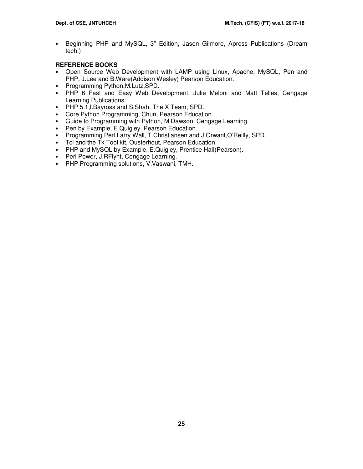• Beginning PHP and MySQL, 3" Edition, Jason Gilmore, Apress Publications (Dream tech.)

# **REFERENCE BOOKS**

- Open Source Web Development with LAMP using Linux, Apache, MySQL, Pen and PHP, J.Lee and B.Ware(Addison Wesley) Pearson Education.
- Programming Python,M.Lutz,SPD.
- PHP 6 Fast and Easy Web Development, Julie Meloni and Matt Telles, Cengage Learning Publications.
- PHP 5.1,l.Bayross and S.Shah, The X Team, SPD.
- Core Python Programming, Chun, Pearson Education.
- Guide to Programming with Python, M.Dawson, Cengage Learning.
- Pen by Example, E.Quigley, Pearson Education.
- Programming Perl,Larry Wall, T.Christiansen and J.Orwant,O'Reilly, SPD.
- Tcl and the Tk Tool kit, Ousterhout, Pearson Education.
- PHP and MySQL by Example, E.Quigley, Prentice Hall(Pearson).
- Perl Power, J.RFlynt, Cengage Learning.
- PHP Programming solutions, V.Vaswani, TMH.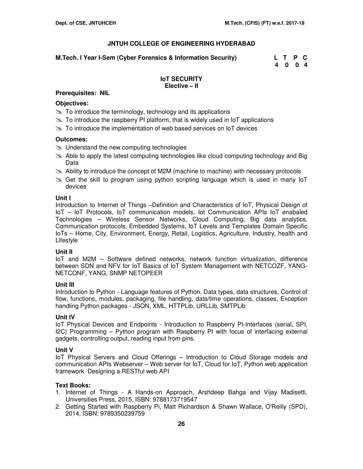**M.Tech. I Year I-Sem (Cyber Forensics & Information Security) L T P C** 

 **4 0 0 4** 

# **IoT SECURITY Elective – II**

# **Prerequisites: NIL**

# **Objectives:**

- $\geq$  To introduce the terminology, technology and its applications
- $\gg$  To introduce the raspberry PI platform, that is widely used in IoT applications
- $\gg$  To introduce the implementation of web based services on IoT devices

# **Outcomes:**

- $\geq$  Understand the new computing technologies
- $\geq$  Able to apply the latest computing technologies like cloud computing technology and Big Data
- $\geq$  Ability to introduce the concept of M2M (machine to machine) with necessary protocols
- $\geq$  Get the skill to program using python scripting language which is used in many IoT devices

# **Unit I**

Introduction to Internet of Things –Definition and Characteristics of IoT, Physical Design of IoT – IoT Protocols, IoT communication models, Iot Communication APIs IoT enabaled Technologies – Wireless Sensor Networks, Cloud Computing, Big data analytics, Communication protocols, Embedded Systems, IoT Levels and Templates Domain Specific IoTs – Home, City, Environment, Energy, Retail, Logistics, Agriculture, Industry, health and Lifestyle

# **Unit II**

IoT and M2M – Software defined networks, network function virtualization, difference between SDN and NFV for IoT Basics of IoT System Management with NETCOZF, YANG-NETCONF, YANG, SNMP NETOPEER

#### **Unit III**

Introduction to Python - Language features of Python, Data types, data structures, Control of flow, functions, modules, packaging, file handling, data/time operations, classes, Exception handling Python packages - JSON, XML, HTTPLib, URLLib, SMTPLib

# **Unit IV**

IoT Physical Devices and Endpoints - Introduction to Raspberry PI-Interfaces (serial, SPI, I2C) Programming – Python program with Raspberry PI with focus of interfacing external gadgets, controlling output, reading input from pins.

# **Unit V**

IoT Physical Servers and Cloud Offerings – Introduction to Cloud Storage models and communication APIs Webserver – Web server for IoT, Cloud for IoT, Python web application framework Designing a RESTful web API

# **Text Books:**

- 1. Internet of Things A Hands-on Approach, Arshdeep Bahga and Vijay Madisetti, Universities Press, 2015, ISBN: 9788173719547
- 2. Getting Started with Raspberry Pi, Matt Richardson & Shawn Wallace, O'Reilly (SPD), 2014, ISBN: 9789350239759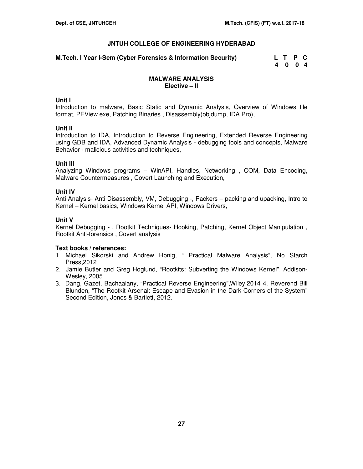**M.Tech. I Year I-Sem (Cyber Forensics & Information Security) L T P C** 

 **4 0 0 4** 

#### **MALWARE ANALYSIS Elective – II**

#### **Unit I**

Introduction to malware, Basic Static and Dynamic Analysis, Overview of Windows file format, PEView.exe, Patching Binaries , Disassembly(objdump, IDA Pro),

#### **Unit II**

Introduction to IDA, Introduction to Reverse Engineering, Extended Reverse Engineering using GDB and IDA, Advanced Dynamic Analysis - debugging tools and concepts, Malware Behavior - malicious activities and techniques,

# **Unit III**

Analyzing Windows programs – WinAPI, Handles, Networking , COM, Data Encoding, Malware Countermeasures , Covert Launching and Execution,

# **Unit IV**

Anti Analysis- Anti Disassembly, VM, Debugging -, Packers – packing and upacking, Intro to Kernel – Kernel basics, Windows Kernel API, Windows Drivers,

# **Unit V**

Kernel Debugging - , Rootkit Techniques- Hooking, Patching, Kernel Object Manipulation , Rootkit Anti-forensics , Covert analysis

# **Text books / references:**

- 1. Michael Sikorski and Andrew Honig, " Practical Malware Analysis", No Starch Press,2012
- 2. Jamie Butler and Greg Hoglund, "Rootkits: Subverting the Windows Kernel", Addison-Wesley, 2005
- 3. Dang, Gazet, Bachaalany, "Practical Reverse Engineering",Wiley,2014 4. Reverend Bill Blunden, "The Rootkit Arsenal: Escape and Evasion in the Dark Corners of the System" Second Edition, Jones & Bartlett, 2012.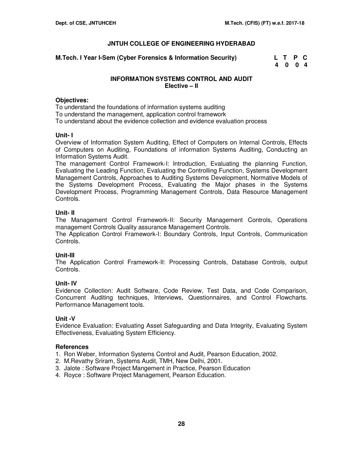**M.Tech. I Year I-Sem (Cyber Forensics & Information Security) L T P C** 

 **4 0 0 4** 

# **INFORMATION SYSTEMS CONTROL AND AUDIT Elective – II**

# **Objectives:**

To understand the foundations of information systems auditing To understand the management, application control framework To understand about the evidence collection and evidence evaluation process

# **Unit- I**

Overview of Information System Auditing, Effect of Computers on Internal Controls, Effects of Computers on Auditing, Foundations of information Systems Auditing, Conducting an Information Systems Audit.

The management Control Framework-I: Introduction, Evaluating the planning Function, Evaluating the Leading Function, Evaluating the Controlling Function, Systems Development Management Controls, Approaches to Auditing Systems Development, Normative Models of the Systems Development Process, Evaluating the Major phases in the Systems Development Process, Programming Management Controls, Data Resource Management Controls.

# **Unit- II**

The Management Control Framework-II: Security Management Controls, Operations management Controls Quality assurance Management Controls.

The Application Control Framework-I: Boundary Controls, Input Controls, Communication Controls.

# **Unit-III**

The Application Control Framework-II: Processing Controls, Database Controls, output Controls.

# **Unit- IV**

Evidence Collection: Audit Software, Code Review, Test Data, and Code Comparison, Concurrent Auditing techniques, Interviews, Questionnaires, and Control Flowcharts. Performance Management tools.

# **Unit -V**

Evidence Evaluation: Evaluating Asset Safeguarding and Data Integrity, Evaluating System Effectiveness, Evaluating System Efficiency.

#### **References**

- 1. Ron Weber, Information Systems Control and Audit, Pearson Education, 2002.
- 2. M.Revathy Sriram, Systems Audit, TMH, New Delhi, 2001.
- 3. Jalote : Software Project Mangement in Practice, Pearson Education
- 4. Royce : Software Project Management, Pearson Education.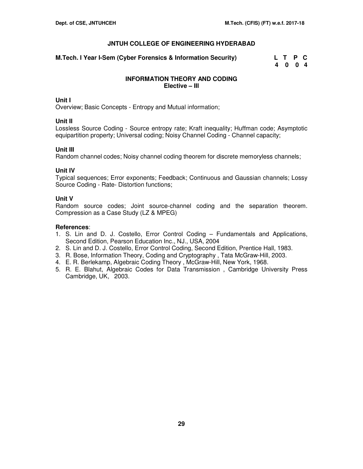**M.Tech. I Year I-Sem (Cyber Forensics & Information Security) L T P C** 

 **4 0 0 4** 

# **INFORMATION THEORY AND CODING Elective – III**

#### **Unit I**

Overview; Basic Concepts - Entropy and Mutual information;

#### **Unit II**

Lossless Source Coding - Source entropy rate; Kraft inequality; Huffman code; Asymptotic equipartition property; Universal coding; Noisy Channel Coding - Channel capacity;

# **Unit III**

Random channel codes; Noisy channel coding theorem for discrete memoryless channels;

# **Unit IV**

Typical sequences; Error exponents; Feedback; Continuous and Gaussian channels; Lossy Source Coding - Rate- Distortion functions;

#### **Unit V**

Random source codes; Joint source-channel coding and the separation theorem. Compression as a Case Study (LZ & MPEG)

#### **References**:

- 1. S. Lin and D. J. Costello, Error Control Coding Fundamentals and Applications, Second Edition, Pearson Education Inc., NJ., USA, 2004
- 2. S. Lin and D. J. Costello, Error Control Coding, Second Edition, Prentice Hall, 1983.
- 3. R. Bose, Information Theory, Coding and Cryptography , Tata McGraw-Hill, 2003.
- 4. E. R. Berlekamp, Algebraic Coding Theory , McGraw-Hill, New York, 1968.
- 5. R. E. Blahut, Algebraic Codes for Data Transmission , Cambridge University Press Cambridge, UK, 2003.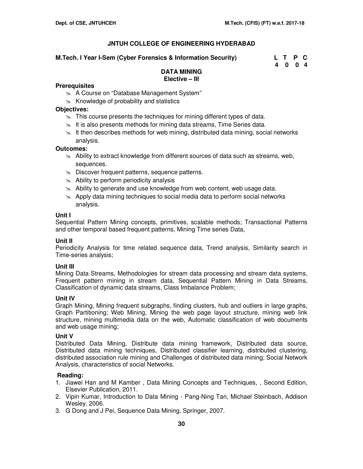#### **M.Tech. I Year I-Sem (Cyber Forensics & Information Security) L T P C**

 **4 0 0 4** 

# **DATA MINING Elective – III**

#### **Prerequisites**

- **A Course on "Database Management System"**
- $\infty$  Knowledge of probability and statistics

#### **Objectives:**

- $\approx$  This course presents the techniques for mining different types of data.
- $\approx$  It is also presents methods for mining data streams, Time Series data.
- $\geq$  It then describes methods for web mining, distributed data mining, social networks analysis.

#### **Outcomes:**

- $\approx$  Ability to extract knowledge from different sources of data such as streams, web, sequences.
- **EX** Discover frequent patterns, sequence patterns.
- $\approx$  Ability to perform periodicity analysis
- s. Ability to generate and use knowledge from web content, web usage data.
- $\geq$  Apply data mining techniques to social media data to perform social networks analysis.

#### **Unit I**

Sequential Pattern Mining concepts, primitives, scalable methods; Transactional Patterns and other temporal based frequent patterns, Mining Time series Data,

#### **Unit II**

Periodicity Analysis for time related sequence data, Trend analysis, Similarity search in Time-series analysis;

#### **Unit III**

Mining Data Streams, Methodologies for stream data processing and stream data systems, Frequent pattern mining in stream data, Sequential Pattern Mining in Data Streams, Classification of dynamic data streams, Class Imbalance Problem;

#### **Unit IV**

Graph Mining, Mining frequent subgraphs, finding clusters, hub and outliers in large graphs, Graph Partitioning; Web Mining, Mining the web page layout structure, mining web link structure, mining multimedia data on the web, Automatic classification of web documents and web usage mining;

#### **Unit V**

Distributed Data Mining, Distribute data mining framework, Distributed data source, Distributed data mining techniques, Distributed classifier learning, distributed clustering, distributed association rule mining and Challenges of distributed data mining; Social Network Analysis, characteristics of social Networks.

#### **Reading:**

- 1. Jiawei Han and M Kamber , Data Mining Concepts and Techniques, , Second Edition, Elsevier Publication, 2011.
- 2. Vipin Kumar, Introduction to Data Mining Pang-Ning Tan, Michael Steinbach, Addison Wesley, 2006.
- 3. G Dong and J Pei, Sequence Data Mining, Springer, 2007.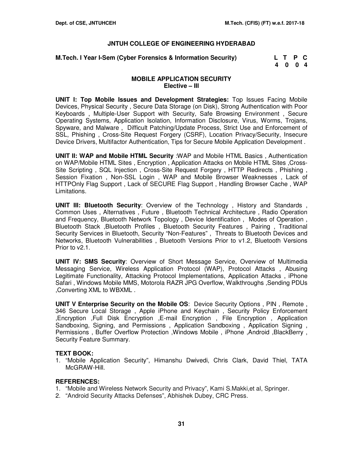**M.Tech. I Year I-Sem (Cyber Forensics & Information Security) L T P C** 

 **4 0 0 4** 

#### **MOBILE APPLICATION SECURITY Elective – III**

**UNIT I: Top Mobile Issues and Development Strategies:** Top Issues Facing Mobile Devices, Physical Security , Secure Data Storage (on Disk), Strong Authentication with Poor Keyboards , Multiple-User Support with Security, Safe Browsing Environment , Secure Operating Systems, Application Isolation, Information Disclosure, Virus, Worms, Trojans, Spyware, and Malware , Difficult Patching/Update Process, Strict Use and Enforcement of SSL, Phishing , Cross-Site Request Forgery (CSRF), Location Privacy/Security, Insecure Device Drivers, Multifactor Authentication, Tips for Secure Mobile Application Development .

**UNIT II: WAP and Mobile HTML Security** :WAP and Mobile HTML Basics , Authentication on WAP/Mobile HTML Sites , Encryption , Application Attacks on Mobile HTML Sites ,Cross-Site Scripting , SQL Injection , Cross-Site Request Forgery , HTTP Redirects , Phishing , Session Fixation , Non-SSL Login , WAP and Mobile Browser Weaknesses , Lack of HTTPOnly Flag Support , Lack of SECURE Flag Support , Handling Browser Cache , WAP Limitations.

**UNIT III: Bluetooth Security**: Overview of the Technology , History and Standards , Common Uses , Alternatives , Future , Bluetooth Technical Architecture , Radio Operation and Frequency, Bluetooth Network Topology , Device Identification , Modes of Operation , Bluetooth Stack ,Bluetooth Profiles , Bluetooth Security Features , Pairing , Traditional Security Services in Bluetooth, Security "Non-Features" , Threats to Bluetooth Devices and Networks, Bluetooth Vulnerabilities , Bluetooth Versions Prior to v1.2, Bluetooth Versions Prior to v2.1.

**UNIT IV: SMS Security**: Overview of Short Message Service, Overview of Multimedia Messaging Service, Wireless Application Protocol (WAP), Protocol Attacks , Abusing Legitimate Functionality, Attacking Protocol Implementations, Application Attacks , iPhone Safari , Windows Mobile MMS, Motorola RAZR JPG Overflow, Walkthroughs ,Sending PDUs ,Converting XML to WBXML .

**UNIT V Enterprise Security on the Mobile OS**: Device Security Options , PIN , Remote , 346 Secure Local Storage , Apple iPhone and Keychain , Security Policy Enforcement ,Encryption ,Full Disk Encryption ,E-mail Encryption , File Encryption , Application Sandboxing, Signing, and Permissions , Application Sandboxing , Application Signing , Permissions, Buffer Overflow Protection, Windows Mobile, iPhone, Android, BlackBerry, Security Feature Summary.

# **TEXT BOOK:**

1. "Mobile Application Security", Himanshu Dwivedi, Chris Clark, David Thiel, TATA McGRAW-Hill.

# **REFERENCES:**

- 1. "Mobile and Wireless Network Security and Privacy", Kami S.Makki,et al, Springer.
- 2. "Android Security Attacks Defenses", Abhishek Dubey, CRC Press.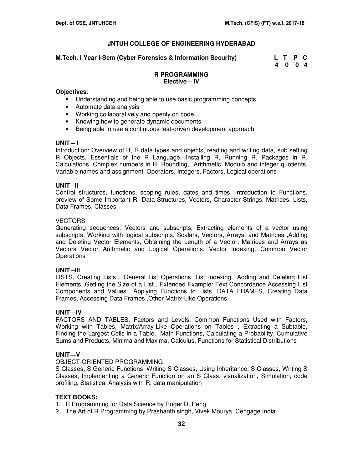**M.Tech. I Year I-Sem (Cyber Forensics & Information Security) L T P C** 

 **4 0 0 4** 

# **R PROGRAMMING Elective – IV**

#### **Objectives**:

- Understanding and being able to use basic programming concepts
- Automate data analysis
- Working collaboratively and openly on code
- Knowing how to generate dynamic documents
- Being able to use a continuous test-driven development approach

# **UNIT – I**

Introduction: Overview of R, R data types and objects, reading and writing data, sub setting R Objects, Essentials of the R Language, Installing R, Running R, Packages in R, Calculations, Complex numbers in R, Rounding, Arithmetic, Modulo and integer quotients, Variable names and assignment, Operators, Integers, Factors, Logical operations

#### **UNIT –II**

Control structures, functions, scoping rules, dates and times, Introduction to Functions, preview of Some Important R Data Structures, Vectors, Character Strings, Matrices, Lists, Data Frames, Classes

#### **VECTORS**

Generating sequences, Vectors and subscripts, Extracting elements of a vector using subscripts, Working with logical subscripts, Scalars, Vectors, Arrays, and Matrices ,Adding and Deleting Vector Elements, Obtaining the Length of a Vector, Matrices and Arrays as Vectors Vector Arithmetic and Logical Operations, Vector Indexing, Common Vector **Operations** 

#### **UNIT –III**

LISTS, Creating Lists , General List Operations, List Indexing Adding and Deleting List Elements ,Getting the Size of a List , Extended Example: Text Concordance Accessing List Components and Values Applying Functions to Lists, DATA FRAMES, Creating Data Frames, Accessing Data Frames ,Other Matrix-Like Operations

#### **UNIT—IV**

FACTORS AND TABLES, Factors and Levels, Common Functions Used with Factors, Working with Tables, Matrix/Array-Like Operations on Tables , Extracting a Subtable, Finding the Largest Cells in a Table, Math Functions, Calculating a Probability, Cumulative Sums and Products, Minima and Maxima, Calculus, Functions for Statistical Distributions

#### **UNIT—V**

#### OBJECT-ORIENTED PROGRAMMING

S Classes, S Generic Functions, Writing S Classes, Using Inheritance, S Classes, Writing S Classes, Implementing a Generic Function on an S Class, visualization, Simulation, code profiling, Statistical Analysis with R, data manipulation

# **TEXT BOOKS:**

- 1. R Programming for Data Science by Roger D. Peng
- 2. The Art of R Programming by Prashanth singh, Vivek Mourya, Cengage India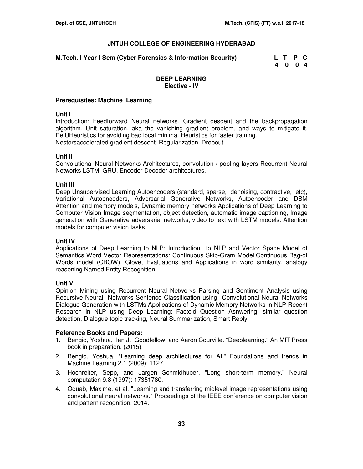**M.Tech. I Year I-Sem (Cyber Forensics & Information Security) L T P C** 

 **4 0 0 4** 

#### **DEEP LEARNING Elective - IV**

#### **Prerequisites: Machine Learning**

#### **Unit I**

Introduction: Feedforward Neural networks. Gradient descent and the backpropagation algorithm. Unit saturation, aka the vanishing gradient problem, and ways to mitigate it. RelUHeuristics for avoiding bad local minima. Heuristics for faster training. Nestorsaccelerated gradient descent. Regularization. Dropout.

# **Unit II**

Convolutional Neural Networks Architectures, convolution / pooling layers Recurrent Neural Networks LSTM, GRU, Encoder Decoder architectures.

# **Unit III**

Deep Unsupervised Learning Autoencoders (standard, sparse, denoising, contractive, etc), Variational Autoencoders, Adversarial Generative Networks, Autoencoder and DBM Attention and memory models, Dynamic memory networks Applications of Deep Learning to Computer Vision Image segmentation, object detection, automatic image captioning, Image generation with Generative adversarial networks, video to text with LSTM models. Attention models for computer vision tasks.

#### **Unit IV**

Applications of Deep Learning to NLP: Introduction to NLP and Vector Space Model of Semantics Word Vector Representations: Continuous Skip-Gram Model,Continuous Bag-of Words model (CBOW), Glove, Evaluations and Applications in word similarity, analogy reasoning Named Entity Recognition.

#### **Unit V**

Opinion Mining using Recurrent Neural Networks Parsing and Sentiment Analysis using Recursive Neural Networks Sentence Classification using Convolutional Neural Networks Dialogue Generation with LSTMs Applications of Dynamic Memory Networks in NLP Recent Research in NLP using Deep Learning: Factoid Question Asnwering, similar question detection, Dialogue topic tracking, Neural Summarization, Smart Reply.

# **Reference Books and Papers:**

- 1. Bengio, Yoshua, Ian J. Goodfellow, and Aaron Courville. "Deeplearning." An MIT Press book in preparation. (2015).
- 2. Bengio, Yoshua. "Learning deep architectures for AI." Foundations and trends in Machine Learning 2.1 (2009): 1127.
- 3. Hochreiter, Sepp, and Jargen Schmidhuber. "Long short-term memory." Neural computation 9.8 (1997): 17351780.
- 4. Oquab, Maxime, et al. "Learning and transferring midlevel image representations using convolutional neural networks." Proceedings of the IEEE conference on computer vision and pattern recognition. 2014.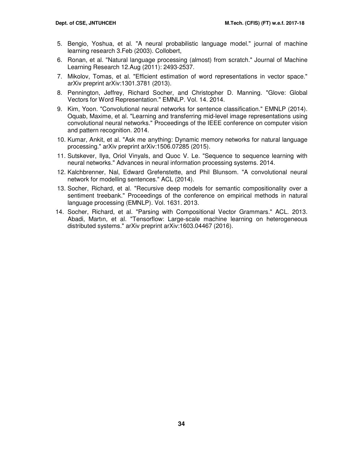- 5. Bengio, Yoshua, et al. "A neural probabilistic language model." journal of machine learning research 3.Feb (2003). Collobert,
- 6. Ronan, et al. "Natural language processing (almost) from scratch." Journal of Machine Learning Research 12.Aug (2011): 2493-2537.
- 7. Mikolov, Tomas, et al. "Efficient estimation of word representations in vector space." arXiv preprint arXiv:1301.3781 (2013).
- 8. Pennington, Jeffrey, Richard Socher, and Christopher D. Manning. "Glove: Global Vectors for Word Representation." EMNLP. Vol. 14. 2014.
- 9. Kim, Yoon. "Convolutional neural networks for sentence classification." EMNLP (2014). Oquab, Maxime, et al. "Learning and transferring mid-level image representations using convolutional neural networks." Proceedings of the IEEE conference on computer vision and pattern recognition. 2014.
- 10. Kumar, Ankit, et al. "Ask me anything: Dynamic memory networks for natural language processing." arXiv preprint arXiv:1506.07285 (2015).
- 11. Sutskever, Ilya, Oriol Vinyals, and Quoc V. Le. "Sequence to sequence learning with neural networks." Advances in neural information processing systems. 2014.
- 12. Kalchbrenner, Nal, Edward Grefenstette, and Phil Blunsom. "A convolutional neural network for modelling sentences." ACL (2014).
- 13. Socher, Richard, et al. "Recursive deep models for semantic compositionality over a sentiment treebank." Proceedings of the conference on empirical methods in natural language processing (EMNLP). Vol. 1631. 2013.
- 14. Socher, Richard, et al. "Parsing with Compositional Vector Grammars." ACL. 2013. Abadi, Martın, et al. "Tensorflow: Large-scale machine learning on heterogeneous distributed systems." arXiv preprint arXiv:1603.04467 (2016).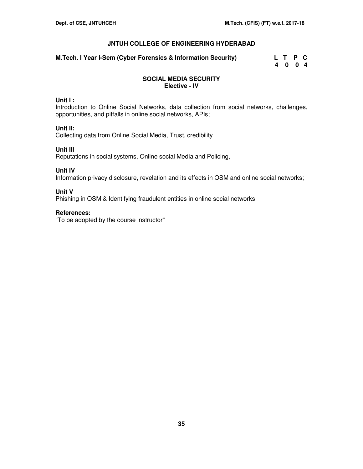**M.Tech. I Year I-Sem (Cyber Forensics & Information Security) L T P C** 

 **4 0 0 4** 

#### **SOCIAL MEDIA SECURITY Elective - IV**

**Unit I :** 

Introduction to Online Social Networks, data collection from social networks, challenges, opportunities, and pitfalls in online social networks, APIs;

# **Unit II:**

Collecting data from Online Social Media, Trust, credibility

#### **Unit III**

Reputations in social systems, Online social Media and Policing,

#### **Unit IV**

Information privacy disclosure, revelation and its effects in OSM and online social networks;

#### **Unit V**

Phishing in OSM & Identifying fraudulent entities in online social networks

#### **References:**

"To be adopted by the course instructor"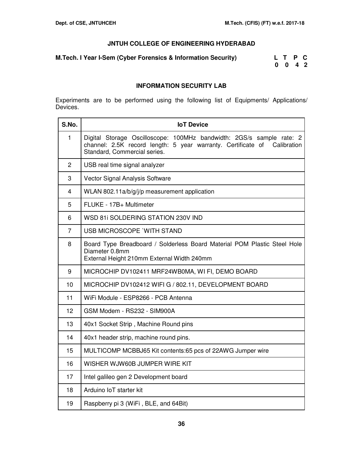**M.Tech. I Year I-Sem (Cyber Forensics & Information Security) L T P C** 

 **0 0 4 2** 

# **INFORMATION SECURITY LAB**

Experiments are to be performed using the following list of Equipments/ Applications/ Devices.

| S.No.          | <b>IoT Device</b>                                                                                                                                                                |  |  |
|----------------|----------------------------------------------------------------------------------------------------------------------------------------------------------------------------------|--|--|
| $\mathbf{1}$   | Digital Storage Oscilloscope: 100MHz bandwidth: 2GS/s sample rate: 2<br>channel: 2.5K record length: 5 year warranty. Certificate of Calibration<br>Standard, Commercial series. |  |  |
| $\overline{2}$ | USB real time signal analyzer                                                                                                                                                    |  |  |
| 3              | Vector Signal Analysis Software                                                                                                                                                  |  |  |
| $\overline{4}$ | WLAN 802.11a/b/g/j/p measurement application                                                                                                                                     |  |  |
| 5              | FLUKE - 17B+ Multimeter                                                                                                                                                          |  |  |
| 6              | WSD 81i SOLDERING STATION 230V IND                                                                                                                                               |  |  |
| $\overline{7}$ | <b>USB MICROSCOPE 'WITH STAND</b>                                                                                                                                                |  |  |
| 8              | Board Type Breadboard / Solderless Board Material POM Plastic Steel Hole<br>Diameter 0.8mm<br>External Height 210mm External Width 240mm                                         |  |  |
| 9              | MICROCHIP DV102411 MRF24WB0MA, WI FI, DEMO BOARD                                                                                                                                 |  |  |
| 10             | MICROCHIP DV102412 WIFI G / 802.11, DEVELOPMENT BOARD                                                                                                                            |  |  |
| 11             | WiFi Module - ESP8266 - PCB Antenna                                                                                                                                              |  |  |
| 12             | GSM Modem - RS232 - SIM900A                                                                                                                                                      |  |  |
| 13             | 40x1 Socket Strip, Machine Round pins                                                                                                                                            |  |  |
| 14             | 40x1 header strip, machine round pins.                                                                                                                                           |  |  |
| 15             | MULTICOMP MCBBJ65 Kit contents:65 pcs of 22AWG Jumper wire                                                                                                                       |  |  |
| 16             | WISHER WJW60B JUMPER WIRE KIT                                                                                                                                                    |  |  |
| 17             | Intel galileo gen 2 Development board                                                                                                                                            |  |  |
| 18             | Arduino IoT starter kit                                                                                                                                                          |  |  |
| 19             | Raspberry pi 3 (WiFi, BLE, and 64Bit)                                                                                                                                            |  |  |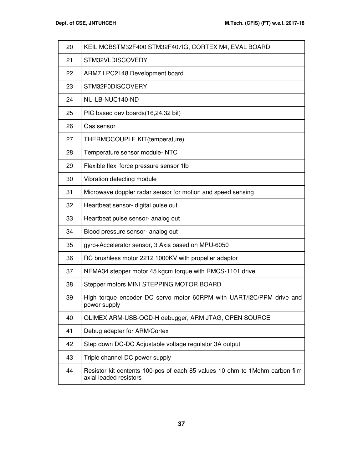| 20 | KEIL MCBSTM32F400 STM32F407IG, CORTEX M4, EVAL BOARD                                                  |
|----|-------------------------------------------------------------------------------------------------------|
| 21 | STM32VLDISCOVERY                                                                                      |
| 22 | ARM7 LPC2148 Development board                                                                        |
| 23 | STM32F0DISCOVERY                                                                                      |
| 24 | NU-LB-NUC140-ND                                                                                       |
| 25 | PIC based dev boards (16,24,32 bit)                                                                   |
| 26 | Gas sensor                                                                                            |
| 27 | THERMOCOUPLE KIT(temperature)                                                                         |
| 28 | Temperature sensor module- NTC                                                                        |
| 29 | Flexible flexi force pressure sensor 1lb                                                              |
| 30 | Vibration detecting module                                                                            |
| 31 | Microwave doppler radar sensor for motion and speed sensing                                           |
| 32 | Heartbeat sensor- digital pulse out                                                                   |
| 33 | Heartbeat pulse sensor- analog out                                                                    |
| 34 | Blood pressure sensor- analog out                                                                     |
| 35 | gyro+Accelerator sensor, 3 Axis based on MPU-6050                                                     |
| 36 | RC brushless motor 2212 1000KV with propeller adaptor                                                 |
| 37 | NEMA34 stepper motor 45 kgcm torque with RMCS-1101 drive                                              |
| 38 | Stepper motors MINI STEPPING MOTOR BOARD                                                              |
| 39 | High torque encoder DC servo motor 60RPM with UART/I2C/PPM drive and<br>power supply                  |
| 40 | OLIMEX ARM-USB-OCD-H debugger, ARM JTAG, OPEN SOURCE                                                  |
| 41 | Debug adapter for ARM/Cortex                                                                          |
| 42 | Step down DC-DC Adjustable voltage regulator 3A output                                                |
| 43 | Triple channel DC power supply                                                                        |
| 44 | Resistor kit contents 100-pcs of each 85 values 10 ohm to 1Mohm carbon film<br>axial leaded resistors |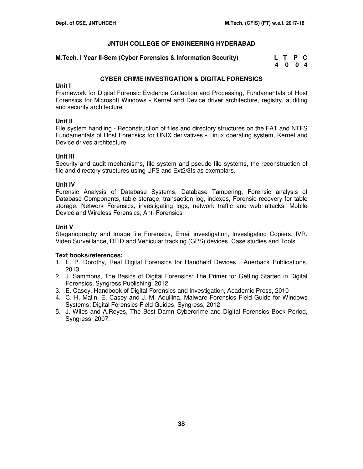#### **M.Tech. I Year II-Sem (Cyber Forensics & Information Security) Letter Security**

| V) |  | L I P C |  |
|----|--|---------|--|
|    |  | 4 0 0 4 |  |

# **CYBER CRIME INVESTIGATION & DIGITAL FORENSICS**

#### **Unit I**

Framework for Digital Forensic Evidence Collection and Processing, Fundamentals of Host Forensics for Microsoft Windows - Kernel and Device driver architecture, registry, auditing and security architecture

#### **Unit II**

File system handling - Reconstruction of files and directory structures on the FAT and NTFS Fundamentals of Host Forensics for UNIX derivatives - Linux operating system, Kernel and Device drives architecture

# **Unit III**

Security and audit mechanisms, file system and pseudo file systems, the reconstruction of file and directory structures using UFS and Ext2/3fs as exemplars.

#### **Unit IV**

Forensic Analysis of Database Systems, Database Tampering, Forensic analysis of Database Components, table storage, transaction log, indexes, Forensic recovery for table storage. Network Forensics, investigating logs, network traffic and web attacks, Mobile Device and Wireless Forensics, Anti-Forensics

# **Unit V**

Steganography and Image file Forensics, Email investigation, Investigating Copiers, IVR, Video Surveillance, RFID and Vehicular tracking (GPS) devices, Case studies and Tools.

#### **Text books/references:**

- 1. E. P. Dorothy, Real Digital Forensics for Handheld Devices , Auerback Publications, 2013.
- 2. J. Sammons, The Basics of Digital Forensics: The Primer for Getting Started in Digital Forensics, Syngress Publishing, 2012.
- 3. E. Casey, Handbook of Digital Forensics and Investigation, Academic Press, 2010
- 4. C. H. Malin, E. Casey and J. M. Aquilina, Malware Forensics Field Guide for Windows Systems: Digital Forensics Field Guides, Syngress, 2012
- 5. J. Wiles and A.Reyes, The Best Damn Cybercrime and Digital Forensics Book Period, Syngress, 2007.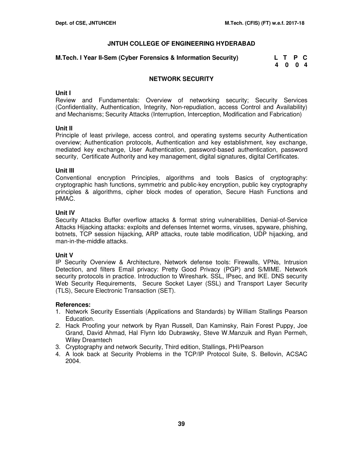#### **M.Tech. I Year II-Sem (Cyber Forensics & Information Security) L T P C**

| y) |  | L T P C |  |
|----|--|---------|--|
|    |  | 4 0 0 4 |  |

#### **NETWORK SECURITY**

#### **Unit I**

Review and Fundamentals: Overview of networking security; Security Services (Confidentiality, Authentication, Integrity, Non-repudiation, access Control and Availability) and Mechanisms; Security Attacks (Interruption, Interception, Modification and Fabrication)

#### **Unit II**

Principle of least privilege, access control, and operating systems security Authentication overview; Authentication protocols, Authentication and key establishment, key exchange, mediated key exchange, User Authentication, password-based authentication, password security, Certificate Authority and key management, digital signatures, digital Certificates.

#### **Unit III**

Conventional encryption Principles, algorithms and tools Basics of cryptography: cryptographic hash functions, symmetric and public-key encryption, public key cryptography principles & algorithms, cipher block modes of operation, Secure Hash Functions and HMAC.

#### **Unit IV**

Security Attacks Buffer overflow attacks & format string vulnerabilities, Denial-of-Service Attacks Hijacking attacks: exploits and defenses Internet worms, viruses, spyware, phishing, botnets, TCP session hijacking, ARP attacks, route table modification, UDP hijacking, and man-in-the-middle attacks.

# **Unit V**

IP Security Overview & Architecture, Network defense tools: Firewalls, VPNs, Intrusion Detection, and filters Email privacy: Pretty Good Privacy (PGP) and S/MIME. Network security protocols in practice. Introduction to Wireshark. SSL, IPsec, and IKE. DNS security Web Security Requirements, Secure Socket Layer (SSL) and Transport Layer Security (TLS), Secure Electronic Transaction (SET).

#### **References:**

- 1. Network Security Essentials (Applications and Standards) by William Stallings Pearson Education.
- 2. Hack Proofing your network by Ryan Russell, Dan Kaminsky, Rain Forest Puppy, Joe Grand, David Ahmad, Hal Flynn Ido Dubrawsky, Steve W.Manzuik and Ryan Permeh, Wiley Dreamtech
- 3. Cryptography and network Security, Third edition, Stallings, PHI/Pearson
- 4. A look back at Security Problems in the TCP/IP Protocol Suite, S. Bellovin, ACSAC 2004.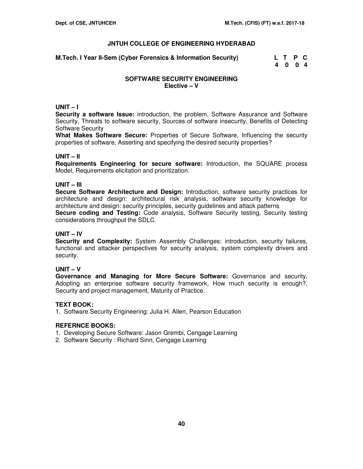**M.Tech. I Year II-Sem (Cyber Forensics & Information Security) L T P C** 

 **4 0 0 4**

# **SOFTWARE SECURITY ENGINEERING Elective – V**

# **UNIT – I**

**Security a software Issue:** introduction, the problem, Software Assurance and Software Security, Threats to software security, Sources of software insecurity, Benefits of Detecting Software Security

**What Makes Software Secure:** Properties of Secure Software, Influencing the security properties of software, Asserting and specifying the desired security properties?

# **UNIT – II**

**Requirements Engineering for secure software:** Introduction, the SQUARE process Model, Requirements elicitation and prioritization.

#### **UNIT – III**

**Secure Software Architecture and Design:** Introduction, software security practices for architecture and design: architectural risk analysis, software security knowledge for architecture and design: security principles, security guidelines and attack patterns **Secure coding and Testing:** Code analysis, Software Security testing, Security testing considerations throughput the SDLC.

# **UNIT – IV**

**Security and Complexity:** System Assembly Challenges: introduction, security failures, functional and attacker perspectives for security analysis, system complexity drivers and security.

#### **UNIT – V**

**Governance and Managing for More Secure Software:** Governance and security, Adopting an enterprise software security framework, How much security is enough?, Security and project management, Maturity of Practice.

#### **TEXT BOOK:**

1. Software Security Engineering: Julia H. Allen, Pearson Education

## **REFERNCE BOOKS:**

- 1. Developing Secure Software: Jason Grembi, Cengage Learning
- 2. Software Security : Richard Sinn, Cengage Learning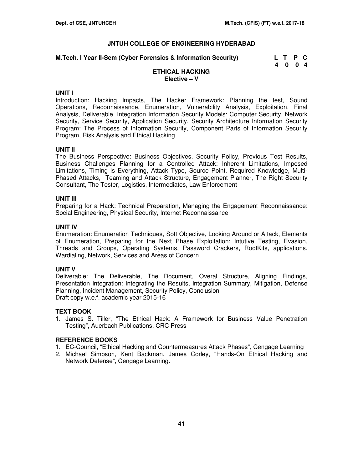**M.Tech. I Year II-Sem (Cyber Forensics & Information Security) L T P C** 

 **4 0 0 4** 

# **ETHICAL HACKING Elective – V**

#### **UNIT I**

Introduction: Hacking Impacts, The Hacker Framework: Planning the test, Sound Operations, Reconnaissance, Enumeration, Vulnerability Analysis, Exploitation, Final Analysis, Deliverable, Integration Information Security Models: Computer Security, Network Security, Service Security, Application Security, Security Architecture Information Security Program: The Process of Information Security, Component Parts of Information Security Program, Risk Analysis and Ethical Hacking

#### **UNIT II**

The Business Perspective: Business Objectives, Security Policy, Previous Test Results, Business Challenges Planning for a Controlled Attack: Inherent Limitations, Imposed Limitations, Timing is Everything, Attack Type, Source Point, Required Knowledge, Multi-Phased Attacks, Teaming and Attack Structure, Engagement Planner, The Right Security Consultant, The Tester, Logistics, Intermediates, Law Enforcement

#### **UNIT III**

Preparing for a Hack: Technical Preparation, Managing the Engagement Reconnaissance: Social Engineering, Physical Security, Internet Reconnaissance

#### **UNIT IV**

Enumeration: Enumeration Techniques, Soft Objective, Looking Around or Attack, Elements of Enumeration, Preparing for the Next Phase Exploitation: Intutive Testing, Evasion, Threads and Groups, Operating Systems, Password Crackers, RootKits, applications, Wardialing, Network, Services and Areas of Concern

#### **UNIT V**

Deliverable: The Deliverable, The Document, Overal Structure, Aligning Findings, Presentation Integration: Integrating the Results, Integration Summary, Mitigation, Defense Planning, Incident Management, Security Policy, Conclusion Draft copy w.e.f. academic year 2015-16

#### **TEXT BOOK**

1. James S. Tiller, "The Ethical Hack: A Framework for Business Value Penetration Testing", Auerbach Publications, CRC Press

#### **REFERENCE BOOKS**

- 1. EC-Council, "Ethical Hacking and Countermeasures Attack Phases", Cengage Learning
- 2. Michael Simpson, Kent Backman, James Corley, "Hands-On Ethical Hacking and Network Defense", Cengage Learning.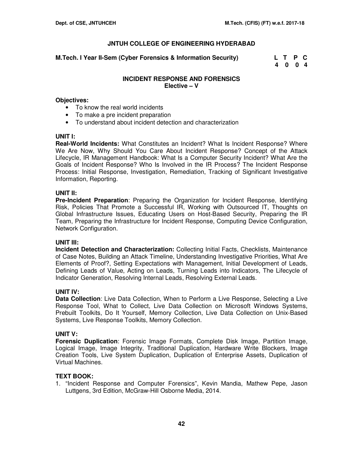**M.Tech. I Year II-Sem (Cyber Forensics & Information Security) L T P C** 

 **4 0 0 4** 

# **INCIDENT RESPONSE AND FORENSICS Elective – V**

#### **Objectives:**

- To know the real world incidents
- To make a pre incident preparation
- To understand about incident detection and characterization

# **UNIT I:**

**Real-World Incidents:** What Constitutes an Incident? What Is Incident Response? Where We Are Now, Why Should You Care About Incident Response? Concept of the Attack Lifecycle, IR Management Handbook: What Is a Computer Security Incident? What Are the Goals of Incident Response? Who Is Involved in the IR Process? The Incident Response Process: Initial Response, Investigation, Remediation, Tracking of Significant Investigative Information, Reporting.

# **UNIT II:**

**Pre-Incident Preparation**: Preparing the Organization for Incident Response, Identifying Risk, Policies That Promote a Successful IR, Working with Outsourced IT, Thoughts on Global Infrastructure Issues, Educating Users on Host-Based Security, Preparing the IR Team, Preparing the Infrastructure for Incident Response, Computing Device Configuration, Network Configuration.

#### **UNIT III:**

**Incident Detection and Characterization:** Collecting Initial Facts, Checklists, Maintenance of Case Notes, Building an Attack Timeline, Understanding Investigative Priorities, What Are Elements of Proof?, Setting Expectations with Management, Initial Development of Leads, Defining Leads of Value, Acting on Leads, Turning Leads into Indicators, The Lifecycle of Indicator Generation, Resolving Internal Leads, Resolving External Leads.

#### **UNIT IV:**

**Data Collection**: Live Data Collection, When to Perform a Live Response, Selecting a Live Response Tool, What to Collect, Live Data Collection on Microsoft Windows Systems, Prebuilt Toolkits, Do It Yourself, Memory Collection, Live Data Collection on Unix-Based Systems, Live Response Toolkits, Memory Collection.

#### **UNIT V:**

**Forensic Duplication**: Forensic Image Formats, Complete Disk Image, Partition Image, Logical Image, Image Integrity, Traditional Duplication, Hardware Write Blockers, Image Creation Tools, Live System Duplication, Duplication of Enterprise Assets, Duplication of Virtual Machines.

# **TEXT BOOK:**

1. "Incident Response and Computer Forensics", Kevin Mandia, Mathew Pepe, Jason Luttgens, 3rd Edition, McGraw-Hill Osborne Media, 2014.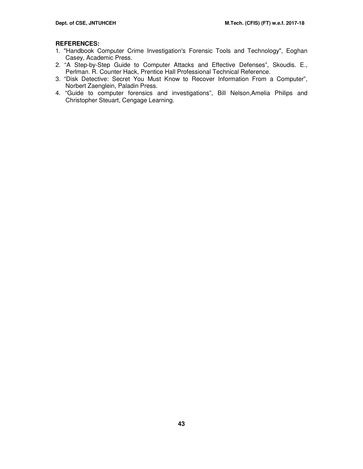#### **REFERENCES:**

- 1. "Handbook Computer Crime Investigation's Forensic Tools and Technology", Eoghan Casey, Academic Press.
- 2. "A Step-by-Step Guide to Computer Attacks and Effective Defenses", Skoudis. E., Perlman. R. Counter Hack, Prentice Hall Professional Technical Reference.
- 3. "Disk Detective: Secret You Must Know to Recover Information From a Computer", Norbert Zaenglein, Paladin Press.
- 4. "Guide to computer forensics and investigations", Bill Nelson,Amelia Philips and Christopher Steuart, Cengage Learning.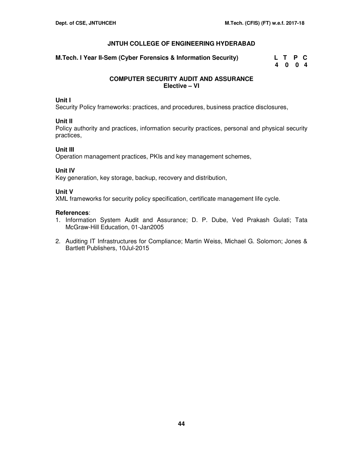**M.Tech. I Year II-Sem (Cyber Forensics & Information Security) L T P C** 

 **4 0 0 4**

# **COMPUTER SECURITY AUDIT AND ASSURANCE Elective – VI**

#### **Unit I**

Security Policy frameworks: practices, and procedures, business practice disclosures,

# **Unit II**

Policy authority and practices, information security practices, personal and physical security practices,

# **Unit III**

Operation management practices, PKIs and key management schemes,

# **Unit IV**

Key generation, key storage, backup, recovery and distribution,

# **Unit V**

XML frameworks for security policy specification, certificate management life cycle.

#### **References**:

- 1. Information System Audit and Assurance; D. P. Dube, Ved Prakash Gulati; Tata McGraw-Hill Education, 01-Jan2005
- 2. Auditing IT Infrastructures for Compliance; Martin Weiss, Michael G. Solomon; Jones & Bartlett Publishers, 10Jul-2015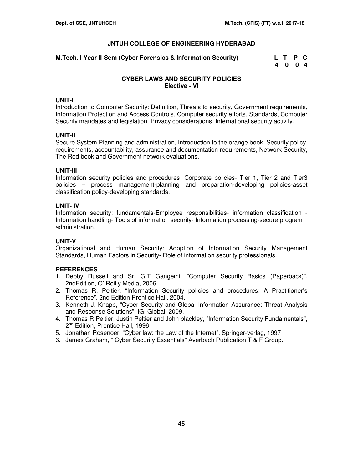**M.Tech. I Year II-Sem (Cyber Forensics & Information Security) L T P C** 

 **4 0 0 4** 

# **CYBER LAWS AND SECURITY POLICIES Elective - VI**

#### **UNIT-I**

Introduction to Computer Security: Definition, Threats to security, Government requirements, Information Protection and Access Controls, Computer security efforts, Standards, Computer Security mandates and legislation, Privacy considerations, International security activity.

# **UNIT-II**

Secure System Planning and administration, Introduction to the orange book, Security policy requirements, accountability, assurance and documentation requirements, Network Security, The Red book and Government network evaluations.

# **UNIT-III**

Information security policies and procedures: Corporate policies- Tier 1, Tier 2 and Tier3 policies – process management-planning and preparation-developing policies-asset classification policy-developing standards.

# **UNIT- IV**

Information security: fundamentals-Employee responsibilities- information classification - Information handling- Tools of information security- Information processing-secure program administration.

# **UNIT-V**

Organizational and Human Security: Adoption of Information Security Management Standards, Human Factors in Security- Role of information security professionals.

# **REFERENCES**

- 1. Debby Russell and Sr. G.T Gangemi, "Computer Security Basics (Paperback)", 2ndEdition, O' Reilly Media, 2006.
- 2. Thomas R. Peltier, "Information Security policies and procedures: A Practitioner's Reference", 2nd Edition Prentice Hall, 2004.
- 3. Kenneth J. Knapp, "Cyber Security and Global Information Assurance: Threat Analysis and Response Solutions", IGI Global, 2009.
- 4. Thomas R Peltier, Justin Peltier and John blackley, "Information Security Fundamentals", 2<sup>nd</sup> Edition, Prentice Hall, 1996
- 5. Jonathan Rosenoer, "Cyber law: the Law of the Internet", Springer-verlag, 1997
- 6. James Graham, " Cyber Security Essentials" Averbach Publication T & F Group.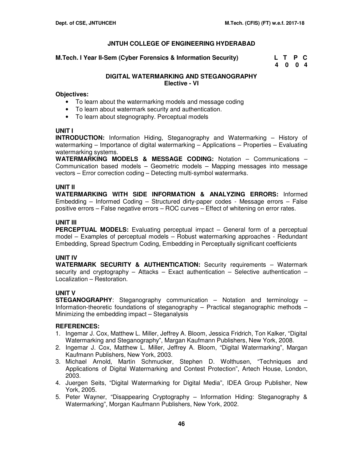**M.Tech. I Year II-Sem (Cyber Forensics & Information Security) L T P C** 

 **4 0 0 4** 

# **DIGITAL WATERMARKING AND STEGANOGRAPHY Elective - VI**

# **Objectives:**

- To learn about the watermarking models and message coding
- To learn about watermark security and authentication.
- To learn about stegnography. Perceptual models

#### **UNIT I**

**INTRODUCTION:** Information Hiding, Steganography and Watermarking – History of watermarking – Importance of digital watermarking – Applications – Properties – Evaluating watermarking systems.

**WATERMARKING MODELS & MESSAGE CODING:** Notation – Communications – Communication based models – Geometric models – Mapping messages into message vectors – Error correction coding – Detecting multi-symbol watermarks.

#### **UNIT II**

**WATERMARKING WITH SIDE INFORMATION & ANALYZING ERRORS:** Informed Embedding – Informed Coding – Structured dirty-paper codes - Message errors – False positive errors – False negative errors – ROC curves – Effect of whitening on error rates.

# **UNIT III**

**PERCEPTUAL MODELS:** Evaluating perceptual impact – General form of a perceptual model – Examples of perceptual models – Robust watermarking approaches - Redundant Embedding, Spread Spectrum Coding, Embedding in Perceptually significant coefficients

#### **UNIT IV**

**WATERMARK SECURITY & AUTHENTICATION:** Security requirements – Watermark security and cryptography  $-$  Attacks  $-$  Exact authentication  $-$  Selective authentication  $-$ Localization – Restoration.

# **UNIT V**

**STEGANOGRAPHY**: Steganography communication – Notation and terminology – Information-theoretic foundations of steganography – Practical steganographic methods – Minimizing the embedding impact – Steganalysis

#### **REFERENCES:**

- 1. Ingemar J. Cox, Matthew L. Miller, Jeffrey A. Bloom, Jessica Fridrich, Ton Kalker, "Digital Watermarking and Steganography", Margan Kaufmann Publishers, New York, 2008.
- 2. Ingemar J. Cox, Matthew L. Miller, Jeffrey A. Bloom, "Digital Watermarking", Margan Kaufmann Publishers, New York, 2003.
- 3. Michael Arnold, Martin Schmucker, Stephen D. Wolthusen, "Techniques and Applications of Digital Watermarking and Contest Protection", Artech House, London, 2003.
- 4. Juergen Seits, "Digital Watermarking for Digital Media", IDEA Group Publisher, New York, 2005.
- 5. Peter Wayner, "Disappearing Cryptography Information Hiding: Steganography & Watermarking", Morgan Kaufmann Publishers, New York, 2002.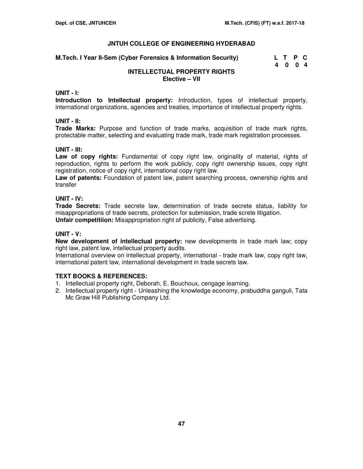**M.Tech. I Year II-Sem (Cyber Forensics & Information Security) L T P C** 

 **4 0 0 4** 

# **INTELLECTUAL PROPERTY RIGHTS Elective – VII**

#### **UNIT - I:**

**Introduction to Intellectual property:** Introduction, types of intellectual property, international organizations, agencies and treaties, importance of intellectual property rights.

#### **UNIT - II:**

**Trade Marks:** Purpose and function of trade marks, acquisition of trade mark rights, protectable matter, selecting and evaluating trade mark, trade mark registration processes.

#### **UNIT - III:**

**Law of copy rights:** Fundamental of copy right law, originality of material, rights of reproduction, rights to perform the work publicly, copy right ownership issues, copy right registration, notice of copy right, international copy right law.

**Law of patents:** Foundation of patent law, patent searching process, ownership rights and transfer

#### **UNIT - IV:**

**Trade Secrets:** Trade secrete law, determination of trade secrete status, liability for misappropriations of trade secrets, protection for submission, trade screte litigation. **Unfair competitiion:** Misappropriation right of publicity, False advertising.

#### **UNIT - V:**

**New development of intellectual property:** new developments in trade mark law; copy right law, patent law, intellectual property audits.

International overview on intellectual property, international - trade mark law, copy right law, international patent law, international development in trade secrets law.

#### **TEXT BOOKS & REFERENCES:**

- 1. Intellectual property right, Deborah, E. Bouchoux, cengage learning.
- 2. Intellectual property right Unleashing the knowledge economy, prabuddha ganguli, Tata Mc Graw Hill Publishing Company Ltd.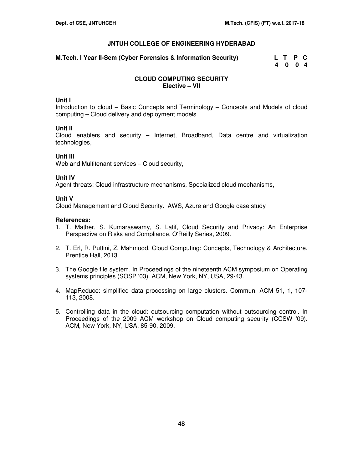**M.Tech. I Year II-Sem (Cyber Forensics & Information Security) L T P C** 

 **4 0 0 4** 

#### **CLOUD COMPUTING SECURITY Elective – VII**

# **Unit I**

Introduction to cloud – Basic Concepts and Terminology – Concepts and Models of cloud computing – Cloud delivery and deployment models.

# **Unit II**

Cloud enablers and security – Internet, Broadband, Data centre and virtualization technologies,

# **Unit III**

Web and Multitenant services – Cloud security,

#### **Unit IV**

Agent threats: Cloud infrastructure mechanisms, Specialized cloud mechanisms,

#### **Unit V**

Cloud Management and Cloud Security. AWS, Azure and Google case study

# **References:**

- 1. T. Mather, S. Kumaraswamy, S. Latif, Cloud Security and Privacy: An Enterprise Perspective on Risks and Compliance, O'Reilly Series, 2009.
- 2. T. Erl, R. Puttini, Z. Mahmood, Cloud Computing: Concepts, Technology & Architecture, Prentice Hall, 2013.
- 3. The Google file system. In Proceedings of the nineteenth ACM symposium on Operating systems principles (SOSP '03). ACM, New York, NY, USA, 29-43.
- 4. MapReduce: simplified data processing on large clusters. Commun. ACM 51, 1, 107- 113, 2008.
- 5. Controlling data in the cloud: outsourcing computation without outsourcing control. In Proceedings of the 2009 ACM workshop on Cloud computing security (CCSW '09). ACM, New York, NY, USA, 85-90, 2009.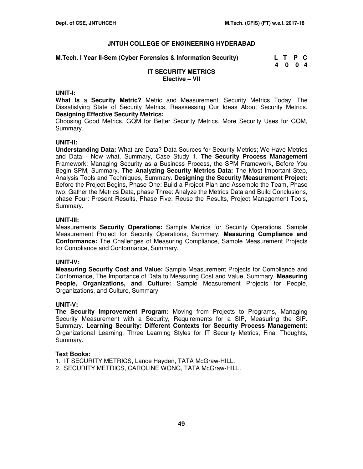**M.Tech. I Year II-Sem (Cyber Forensics & Information Security) L T P C** 

 **4 0 0 4** 

# **IT SECURITY METRICS Elective – VII**

#### **UNIT-I:**

**What Is** a **Security Metric?** Metric and Measurement, Security Metrics Today, The Dissatisfying State of Security Metrics, Reassessing Our Ideas About Security Metrics. **Designing Effective Security Metrics:** 

Choosing Good Metrics, GQM for Better Security Metrics, More Security Uses for GQM, Summary.

#### **UNIT-II:**

**Understanding Data:** What are Data? Data Sources for Security Metrics; We Have Metrics and Data - Now what, Summary, Case Study 1. **The Security Process Management**  Framework: Managing Security as a Business Process, the SPM Framework, Before You Begin SPM, Summary. **The Analyzing Security Metrics Data:** The Most Important Step, Analysis Tools and Techniques, Summary. **Designing the Security Measurement Project:**  Before the Project Begins, Phase One: Build a Project Plan and Assemble the Team, Phase two: Gather the Metrics Data, phase Three: Analyze the Metrics Data and Build Conclusions, phase Four: Present Results, Phase Five: Reuse the Results, Project Management Tools, Summary.

#### **UNIT-III:**

Measurements **Security Operations:** Sample Metrics for Security Operations, Sample Measurement Project for Security Operations, Summary. **Measuring Compliance and Conformance:** The Challenges of Measuring Compliance, Sample Measurement Projects for Compliance and Conformance, Summary.

#### **UNIT-IV:**

**Measuring Security Cost and Value:** Sample Measurement Projects for Compliance and Conformance, The Importance of Data to Measuring Cost and Value, Summary. **Measuring People, Organizations, and Culture:** Sample Measurement Projects for People, Organizations, and Culture, Summary.

#### **UNIT-V:**

**The Security Improvement Program:** Moving from Projects to Programs, Managing Security Measurement with a Security, Requirements for a SIP, Measuring the SIP. Summary. **Learning Security: Different Contexts for Security Process Management:**  Organizational Learning, Three Learning Styles for IT Security Metrics, Final Thoughts, Summary.

#### **Text Books:**

- 1. IT SECURITY METRICS, Lance Hayden, TATA McGraw-HILL.
- 2. SECURITY METRICS, CAROLINE WONG, TATA McGraw-HILL.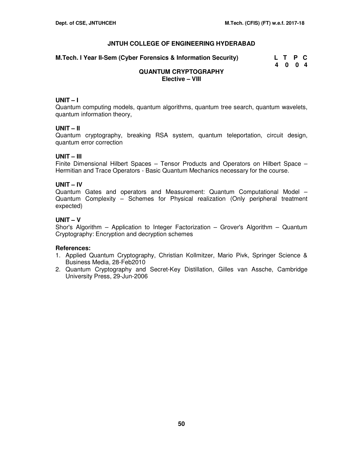**M.Tech. I Year II-Sem (Cyber Forensics & Information Security) L T P C** 

 **4 0 0 4** 

# **QUANTUM CRYPTOGRAPHY Elective – VIII**

#### **UNIT – I**

Quantum computing models, quantum algorithms, quantum tree search, quantum wavelets, quantum information theory,

# **UNIT – II**

Quantum cryptography, breaking RSA system, quantum teleportation, circuit design, quantum error correction

# **UNIT – III**

Finite Dimensional Hilbert Spaces – Tensor Products and Operators on Hilbert Space – Hermitian and Trace Operators - Basic Quantum Mechanics necessary for the course.

# **UNIT – IV**

Quantum Gates and operators and Measurement: Quantum Computational Model – Quantum Complexity – Schemes for Physical realization (Only peripheral treatment expected)

# **UNIT – V**

Shor's Algorithm – Application to Integer Factorization – Grover's Algorithm – Quantum Cryptography: Encryption and decryption schemes

#### **References:**

- 1. Applied Quantum Cryptography, Christian Kollmitzer, Mario Pivk, Springer Science & Business Media, 28-Feb2010
- 2. Quantum Cryptography and Secret-Key Distillation, Gilles van Assche, Cambridge University Press, 29-Jun-2006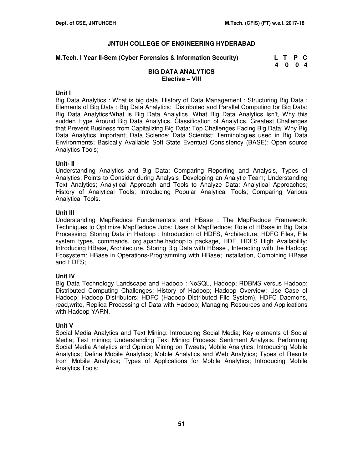**M.Tech. I Year II-Sem (Cyber Forensics & Information Security) L T P C** 

 **4 0 0 4** 

# **BIG DATA ANALYTICS Elective – VIII**

#### **Unit I**

Big Data Analytics : What is big data, History of Data Management ; Structuring Big Data ; Elements of Big Data ; Big Data Analytics; Distributed and Parallel Computing for Big Data; Big Data Analytics:What is Big Data Analytics, What Big Data Analytics Isn't, Why this sudden Hype Around Big Data Analytics, Classification of Analytics, Greatest Challenges that Prevent Business from Capitalizing Big Data; Top Challenges Facing Big Data; Why Big Data Analytics Important; Data Science; Data Scientist; Terminologies used in Big Data Environments; Basically Available Soft State Eventual Consistency (BASE); Open source Analytics Tools;

# **Unit- II**

Understanding Analytics and Big Data: Comparing Reporting and Analysis, Types of Analytics; Points to Consider during Analysis; Developing an Analytic Team; Understanding Text Analytics; Analytical Approach and Tools to Analyze Data: Analytical Approaches; History of Analytical Tools; Introducing Popular Analytical Tools; Comparing Various Analytical Tools.

# **Unit III**

Understanding MapReduce Fundamentals and HBase : The MapReduce Framework; Techniques to Optimize MapReduce Jobs; Uses of MapReduce; Role of HBase in Big Data Processing; Storing Data in Hadoop : Introduction of HDFS, Architecture, HDFC Files, File system types, commands, org.apache.hadoop.io package, HDF, HDFS High Availability; Introducing HBase, Architecture, Storing Big Data with HBase , Interacting with the Hadoop Ecosystem; HBase in Operations-Programming with HBase; Installation, Combining HBase and HDFS;

#### **Unit IV**

Big Data Technology Landscape and Hadoop : NoSQL, Hadoop; RDBMS versus Hadoop; Distributed Computing Challenges; History of Hadoop; Hadoop Overview; Use Case of Hadoop; Hadoop Distributors; HDFC (Hadoop Distributed File System), HDFC Daemons, read,write, Replica Processing of Data with Hadoop; Managing Resources and Applications with Hadoop YARN.

#### **Unit V**

Social Media Analytics and Text Mining: Introducing Social Media; Key elements of Social Media; Text mining; Understanding Text Mining Process; Sentiment Analysis, Performing Social Media Analytics and Opinion Mining on Tweets; Mobile Analytics: Introducing Mobile Analytics; Define Mobile Analytics; Mobile Analytics and Web Analytics; Types of Results from Mobile Analytics; Types of Applications for Mobile Analytics; Introducing Mobile Analytics Tools;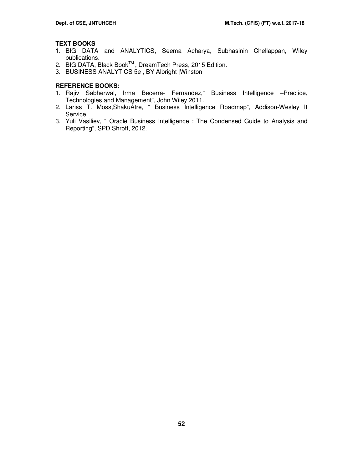# **TEXT BOOKS**

- 1. BIG DATA and ANALYTICS, Seema Acharya, Subhasinin Chellappan, Wiley publications.
- 2. BIG DATA, Black Book™, DreamTech Press, 2015 Edition.
- 3. BUSINESS ANALYTICS 5e , BY Albright |Winston

# **REFERENCE BOOKS:**

- 1. Rajiv Sabherwal, Irma Becerra- Fernandez," Business Intelligence –Practice, Technologies and Management", John Wiley 2011.
- 2. Lariss T. Moss,ShakuAtre, " Business Intelligence Roadmap", Addison-Wesley It Service.
- 3. Yuli Vasiliev, " Oracle Business Intelligence : The Condensed Guide to Analysis and Reporting", SPD Shroff, 2012.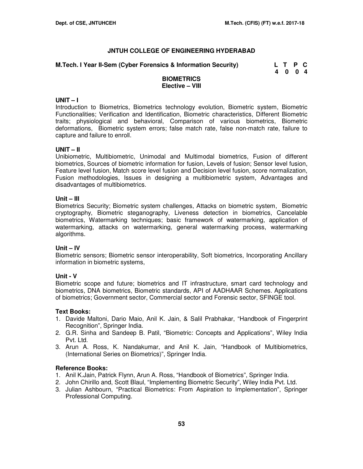#### **M.Tech. I Year II-Sem (Cyber Forensics & Information Security) L T P C**

 **4 0 0 4** 

#### **BIOMETRICS Elective – VIII**

#### **UNIT – I**

Introduction to Biometrics, Biometrics technology evolution, Biometric system, Biometric Functionalities; Verification and Identification, Biometric characteristics, Different Biometric traits; physiological and behavioral, Comparison of various biometrics, Biometric deformations, Biometric system errors; false match rate, false non-match rate, failure to capture and failure to enroll.

#### **UNIT – II**

Unibiometric, Multibiometric, Unimodal and Multimodal biometrics, Fusion of different biometrics, Sources of biometric information for fusion, Levels of fusion; Sensor level fusion, Feature level fusion, Match score level fusion and Decision level fusion, score normalization, Fusion methodologies, Issues in designing a multibiometric system, Advantages and disadvantages of multibiometrics.

# **Unit – III**

Biometrics Security; Biometric system challenges, Attacks on biometric system, Biometric cryptography, Biometric steganography, Liveness detection in biometrics, Cancelable biometrics, Watermarking techniques; basic framework of watermarking, application of watermarking, attacks on watermarking, general watermarking process, watermarking algorithms.

#### **Unit – IV**

Biometric sensors; Biometric sensor interoperability, Soft biometrics, Incorporating Ancillary information in biometric systems,

#### **Unit - V**

Biometric scope and future; biometrics and IT infrastructure, smart card technology and biometrics, DNA biometrics, Biometric standards, API of AADHAAR Schemes. Applications of biometrics; Government sector, Commercial sector and Forensic sector, SFINGE tool.

# **Text Books:**

- 1. Davide Maltoni, Dario Maio, Anil K. Jain, & Salil Prabhakar, "Handbook of Fingerprint Recognition", Springer India.
- 2. G.R. Sinha and Sandeep B. Patil, "Biometric: Concepts and Applications", Wiley India Pvt. Ltd.
- 3. Arun A. Ross, K. Nandakumar, and Anil K. Jain, "Handbook of Multibiometrics, (International Series on Biometrics)", Springer India.

#### **Reference Books:**

- 1. Anil K.Jain, Patrick Flynn, Arun A. Ross, "Handbook of Biometrics", Springer India.
- 2. John Chirillo and, Scott Blaul, "Implementing Biometric Security", Wiley India Pvt. Ltd.
- 3. Julian Ashbourn, "Practical Biometrics: From Aspiration to Implementation", Springer Professional Computing.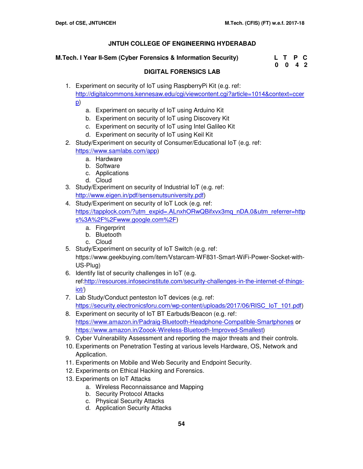**M.Tech. I Year II-Sem (Cyber Forensics & Information Security) L T P C** 

 **0 0 4 2** 

# **DIGITAL FORENSICS LAB**

- 1. Experiment on security of IoT using RaspberryPi Kit (e.g. ref: http://digitalcommons.kennesaw.edu/cgi/viewcontent.cgi?article=1014&context=ccer
	- $\mathbf{p}$
- a. Experiment on security of IoT using Arduino Kit
- b. Experiment on security of IoT using Discovery Kit
- c. Experiment on security of IoT using Intel Galileo Kit
- d. Experiment on security of IoT using Keil Kit
- 2. Study/Experiment on security of Consumer/Educational IoT (e.g. ref: https://www.samlabs.com/app)
	- a. Hardware
	- b. Software
	- c. Applications
	- d. Cloud
- 3. Study/Experiment on security of Industrial IoT (e.g. ref: http://www.eigen.in/pdf/sensenutsuniversity.pdf)
- 4. Study/Experiment on security of IoT Lock (e.g. ref: https://tapplock.com/?utm\_expid=.ALnxhORwQBifxvx3mq\_nDA.0&utm\_referrer=http s%3A%2F%2Fwww.google.com%2F)
	- a. Fingerprint
	- b. Bluetooth
	- c. Cloud
- 5. Study/Experiment on security of IoT Switch (e.g. ref: https://www.geekbuying.com/item/Vstarcam-WF831-Smart-WiFi-Power-Socket-with-

US-Plug)

- 6. Identify list of security challenges in IoT (e.g. ref:http://resources.infosecinstitute.com/security-challenges-in-the-internet-of-thingsiot/)
- 7. Lab Study/Conduct penteston IoT devices (e.g. ref: https://security.electronicsforu.com/wp-content/uploads/2017/06/RISC\_IoT\_101.pdf)
- 8. Experiment on security of IoT BT Earbuds/Beacon (e.g. ref: https://www.amazon.in/Padraig-Bluetooth-Headphone-Compatible-Smartphones or https://www.amazon.in/Zoook-Wireless-Bluetooth-Improved-Smallest)
- 9. Cyber Vulnerability Assessment and reporting the major threats and their controls.
- 10. Experiments on Penetration Testing at various levels Hardware, OS, Network and Application.
- 11. Experiments on Mobile and Web Security and Endpoint Security.
- 12. Experiments on Ethical Hacking and Forensics.
- 13. Experiments on IoT Attacks
	- a. Wireless Reconnaissance and Mapping
	- b. Security Protocol Attacks
	- c. Physical Security Attacks
	- d. Application Security Attacks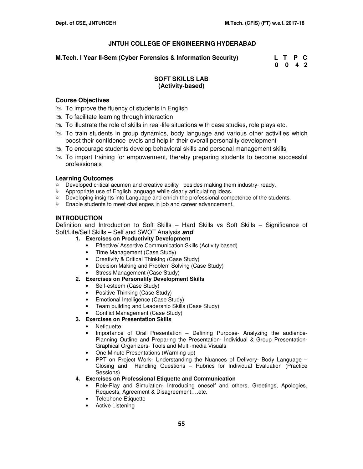**M.Tech. I Year II-Sem (Cyber Forensics & Information Security) L T P C** 

 **0 0 4 2** 

# **SOFT SKILLS LAB (Activity-based)**

# **Course Objectives**

- $\gg$  To improve the fluency of students in English
- $\geq$  To facilitate learning through interaction
- $\geq$  To illustrate the role of skills in real-life situations with case studies, role plays etc.
- To train students in group dynamics, body language and various other activities which boost their confidence levels and help in their overall personality development
- To encourage students develop behavioral skills and personal management skills
- $\geq$  To impart training for empowerment, thereby preparing students to become successful professionals

#### **Learning Outcomes**

- **Developed critical acumen and creative ability** besides making them industry- ready.
- **EXED Appropriate use of English language while clearly articulating ideas.**
- **Developing insights into Language and enrich the professional competence of the students.**
- **Enable students to meet challenges in job and career advancement.**

# **INTRODUCTION**

Definition and Introduction to Soft Skills – Hard Skills vs Soft Skills – Significance of Soft/Life/Self Skills – Self and SWOT Analysis **and**

- **1. Exercises on Productivity Development** 
	- Effective/ Assertive Communication Skills (Activity based)
	- Time Management (Case Study)<br>• Creativity & Critical Thinking (Cas
	- Creativity & Critical Thinking (Case Study)<br>• Decision Making and Problem Solving (Ca
	- Decision Making and Problem Solving (Case Study)
	- Stress Management (Case Study)
- **2. Exercises on Personality Development Skills** 
	- Self-esteem (Case Study)
	- Positive Thinking (Case Study)
	- Emotional Intelligence (Case Study)
	- Team building and Leadership Skills (Case Study)
	- Conflict Management (Case Study)
- **3. Exercises on Presentation Skills** 
	- Netiquette
	- Importance of Oral Presentation Defining Purpose- Analyzing the audience-Planning Outline and Preparing the Presentation- Individual & Group Presentation-Graphical Organizers- Tools and Multi-media Visuals
	- One Minute Presentations (Warming up)
	- PPT on Project Work- Understanding the Nuances of Delivery- Body Language Closing and Handling Questions – Rubrics for Individual Evaluation (Practice Sessions)

#### **4. Exercises on Professional Etiquette and Communication**

- Role-Play and Simulation- Introducing oneself and others, Greetings, Apologies, Requests, Agreement & Disagreement….etc.
- Telephone Etiquette
- Active Listening